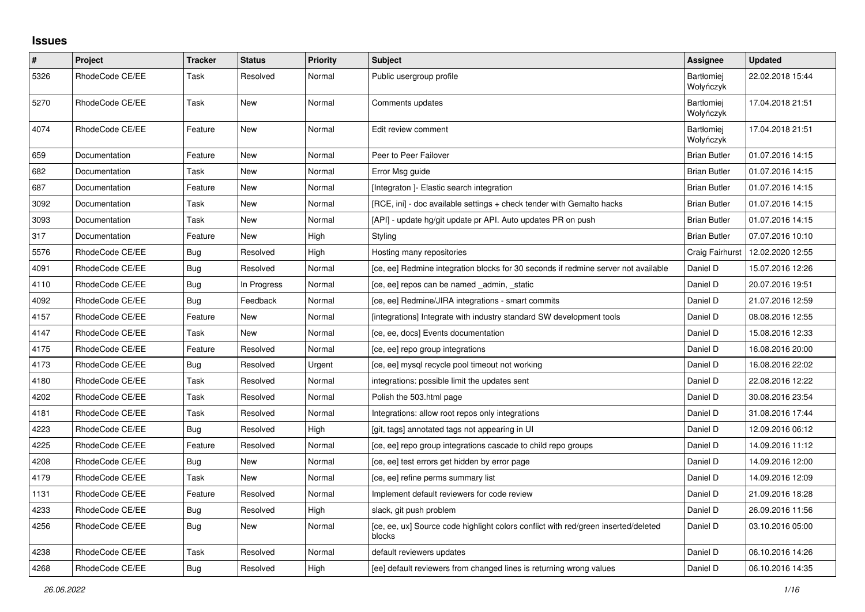## **Issues**

| $\pmb{\#}$ | Project         | <b>Tracker</b> | <b>Status</b> | <b>Priority</b> | <b>Subject</b>                                                                               | Assignee                | <b>Updated</b>   |
|------------|-----------------|----------------|---------------|-----------------|----------------------------------------------------------------------------------------------|-------------------------|------------------|
| 5326       | RhodeCode CE/EE | Task           | Resolved      | Normal          | Public usergroup profile                                                                     | Bartłomiej<br>Wołyńczyk | 22.02.2018 15:44 |
| 5270       | RhodeCode CE/EE | Task           | New           | Normal          | Comments updates                                                                             | Bartłomiej<br>Wołyńczyk | 17.04.2018 21:51 |
| 4074       | RhodeCode CE/EE | Feature        | New           | Normal          | Edit review comment                                                                          | Bartłomiej<br>Wołyńczyk | 17.04.2018 21:51 |
| 659        | Documentation   | Feature        | <b>New</b>    | Normal          | Peer to Peer Failover                                                                        | <b>Brian Butler</b>     | 01.07.2016 14:15 |
| 682        | Documentation   | Task           | New           | Normal          | Error Msg guide                                                                              | <b>Brian Butler</b>     | 01.07.2016 14:15 |
| 687        | Documentation   | Feature        | New           | Normal          | [Integraton] - Elastic search integration                                                    | <b>Brian Butler</b>     | 01.07.2016 14:15 |
| 3092       | Documentation   | Task           | New           | Normal          | [RCE, ini] - doc available settings + check tender with Gemalto hacks                        | <b>Brian Butler</b>     | 01.07.2016 14:15 |
| 3093       | Documentation   | Task           | New           | Normal          | [API] - update hg/git update pr API. Auto updates PR on push                                 | <b>Brian Butler</b>     | 01.07.2016 14:15 |
| 317        | Documentation   | Feature        | <b>New</b>    | High            | Styling                                                                                      | <b>Brian Butler</b>     | 07.07.2016 10:10 |
| 5576       | RhodeCode CE/EE | Bug            | Resolved      | High            | Hosting many repositories                                                                    | Craig Fairhurst         | 12.02.2020 12:55 |
| 4091       | RhodeCode CE/EE | <b>Bug</b>     | Resolved      | Normal          | [ce, ee] Redmine integration blocks for 30 seconds if redmine server not available           | Daniel D                | 15.07.2016 12:26 |
| 4110       | RhodeCode CE/EE | Bug            | In Progress   | Normal          | [ce, ee] repos can be named _admin, _static                                                  | Daniel D                | 20.07.2016 19:51 |
| 4092       | RhodeCode CE/EE | <b>Bug</b>     | Feedback      | Normal          | [ce, ee] Redmine/JIRA integrations - smart commits                                           | Daniel D                | 21.07.2016 12:59 |
| 4157       | RhodeCode CE/EE | Feature        | New           | Normal          | [integrations] Integrate with industry standard SW development tools                         | Daniel D                | 08.08.2016 12:55 |
| 4147       | RhodeCode CE/EE | Task           | New           | Normal          | [ce, ee, docs] Events documentation                                                          | Daniel D                | 15.08.2016 12:33 |
| 4175       | RhodeCode CE/EE | Feature        | Resolved      | Normal          | [ce, ee] repo group integrations                                                             | Daniel D                | 16.08.2016 20:00 |
| 4173       | RhodeCode CE/EE | Bug            | Resolved      | Urgent          | [ce, ee] mysql recycle pool timeout not working                                              | Daniel D                | 16.08.2016 22:02 |
| 4180       | RhodeCode CE/EE | Task           | Resolved      | Normal          | integrations: possible limit the updates sent                                                | Daniel D                | 22.08.2016 12:22 |
| 4202       | RhodeCode CE/EE | Task           | Resolved      | Normal          | Polish the 503.html page                                                                     | Daniel D                | 30.08.2016 23:54 |
| 4181       | RhodeCode CE/EE | Task           | Resolved      | Normal          | Integrations: allow root repos only integrations                                             | Daniel D                | 31.08.2016 17:44 |
| 4223       | RhodeCode CE/EE | Bug            | Resolved      | High            | [git, tags] annotated tags not appearing in UI                                               | Daniel D                | 12.09.2016 06:12 |
| 4225       | RhodeCode CE/EE | Feature        | Resolved      | Normal          | [ce, ee] repo group integrations cascade to child repo groups                                | Daniel D                | 14.09.2016 11:12 |
| 4208       | RhodeCode CE/EE | Bug            | New           | Normal          | [ce, ee] test errors get hidden by error page                                                | Daniel D                | 14.09.2016 12:00 |
| 4179       | RhodeCode CE/EE | Task           | New           | Normal          | [ce, ee] refine perms summary list                                                           | Daniel D                | 14.09.2016 12:09 |
| 1131       | RhodeCode CE/EE | Feature        | Resolved      | Normal          | Implement default reviewers for code review                                                  | Daniel D                | 21.09.2016 18:28 |
| 4233       | RhodeCode CE/EE | Bug            | Resolved      | High            | slack, git push problem                                                                      | Daniel D                | 26.09.2016 11:56 |
| 4256       | RhodeCode CE/EE | Bug            | <b>New</b>    | Normal          | [ce, ee, ux] Source code highlight colors conflict with red/green inserted/deleted<br>blocks | Daniel D                | 03.10.2016 05:00 |
| 4238       | RhodeCode CE/EE | Task           | Resolved      | Normal          | default reviewers updates                                                                    | Daniel D                | 06.10.2016 14:26 |
| 4268       | RhodeCode CE/EE | <b>Bug</b>     | Resolved      | High            | [ee] default reviewers from changed lines is returning wrong values                          | Daniel D                | 06.10.2016 14:35 |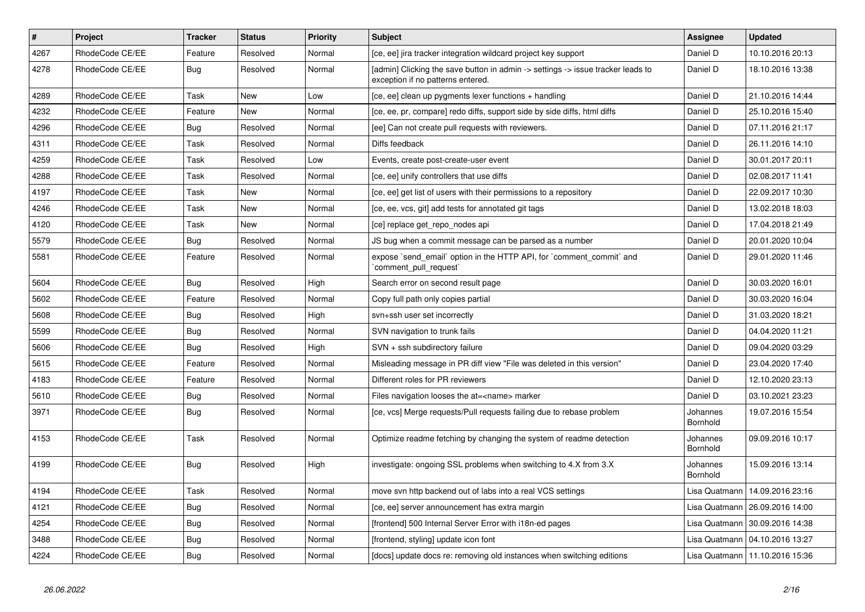| $\vert$ # | Project         | <b>Tracker</b> | <b>Status</b> | Priority | <b>Subject</b>                                                                                                       | <b>Assignee</b>      | <b>Updated</b>                   |
|-----------|-----------------|----------------|---------------|----------|----------------------------------------------------------------------------------------------------------------------|----------------------|----------------------------------|
| 4267      | RhodeCode CE/EE | Feature        | Resolved      | Normal   | [ce, ee] jira tracker integration wildcard project key support                                                       | Daniel D             | 10.10.2016 20:13                 |
| 4278      | RhodeCode CE/EE | Bug            | Resolved      | Normal   | [admin] Clicking the save button in admin -> settings -> issue tracker leads to<br>exception if no patterns entered. | Daniel D             | 18.10.2016 13:38                 |
| 4289      | RhodeCode CE/EE | Task           | New           | Low      | [ce, ee] clean up pygments lexer functions + handling                                                                | Daniel D             | 21.10.2016 14:44                 |
| 4232      | RhodeCode CE/EE | Feature        | New           | Normal   | [ce, ee, pr, compare] redo diffs, support side by side diffs, html diffs                                             | Daniel D             | 25.10.2016 15:40                 |
| 4296      | RhodeCode CE/EE | Bug            | Resolved      | Normal   | [ee] Can not create pull requests with reviewers.                                                                    | Daniel D             | 07.11.2016 21:17                 |
| 4311      | RhodeCode CE/EE | Task           | Resolved      | Normal   | Diffs feedback                                                                                                       | Daniel D             | 26.11.2016 14:10                 |
| 4259      | RhodeCode CE/EE | Task           | Resolved      | Low      | Events, create post-create-user event                                                                                | Daniel D             | 30.01.2017 20:11                 |
| 4288      | RhodeCode CE/EE | Task           | Resolved      | Normal   | [ce, ee] unify controllers that use diffs                                                                            | Daniel D             | 02.08.2017 11:41                 |
| 4197      | RhodeCode CE/EE | Task           | New           | Normal   | [ce, ee] get list of users with their permissions to a repository                                                    | Daniel D             | 22.09.2017 10:30                 |
| 4246      | RhodeCode CE/EE | Task           | <b>New</b>    | Normal   | [ce, ee, vcs, git] add tests for annotated git tags                                                                  | Daniel D             | 13.02.2018 18:03                 |
| 4120      | RhodeCode CE/EE | Task           | <b>New</b>    | Normal   | [ce] replace get repo nodes api                                                                                      | Daniel D             | 17.04.2018 21:49                 |
| 5579      | RhodeCode CE/EE | <b>Bug</b>     | Resolved      | Normal   | JS bug when a commit message can be parsed as a number                                                               | Daniel D             | 20.01.2020 10:04                 |
| 5581      | RhodeCode CE/EE | Feature        | Resolved      | Normal   | expose `send email` option in the HTTP API, for `comment commit` and<br>comment pull request                         | Daniel D             | 29.01.2020 11:46                 |
| 5604      | RhodeCode CE/EE | Bug            | Resolved      | High     | Search error on second result page                                                                                   | Daniel D             | 30.03.2020 16:01                 |
| 5602      | RhodeCode CE/EE | Feature        | Resolved      | Normal   | Copy full path only copies partial                                                                                   | Daniel D             | 30.03.2020 16:04                 |
| 5608      | RhodeCode CE/EE | Bug            | Resolved      | High     | svn+ssh user set incorrectly                                                                                         | Daniel D             | 31.03.2020 18:21                 |
| 5599      | RhodeCode CE/EE | Bug            | Resolved      | Normal   | SVN navigation to trunk fails                                                                                        | Daniel D             | 04.04.2020 11:21                 |
| 5606      | RhodeCode CE/EE | Bug            | Resolved      | High     | SVN + ssh subdirectory failure                                                                                       | Daniel D             | 09.04.2020 03:29                 |
| 5615      | RhodeCode CE/EE | Feature        | Resolved      | Normal   | Misleading message in PR diff view "File was deleted in this version"                                                | Daniel D             | 23.04.2020 17:40                 |
| 4183      | RhodeCode CE/EE | Feature        | Resolved      | Normal   | Different roles for PR reviewers                                                                                     | Daniel D             | 12.10.2020 23:13                 |
| 5610      | RhodeCode CE/EE | <b>Bug</b>     | Resolved      | Normal   | Files navigation looses the at= <name> marker</name>                                                                 | Daniel D             | 03.10.2021 23:23                 |
| 3971      | RhodeCode CE/EE | Bug            | Resolved      | Normal   | [ce, vcs] Merge requests/Pull requests failing due to rebase problem                                                 | Johannes<br>Bornhold | 19.07.2016 15:54                 |
| 4153      | RhodeCode CE/EE | Task           | Resolved      | Normal   | Optimize readme fetching by changing the system of readme detection                                                  | Johannes<br>Bornhold | 09.09.2016 10:17                 |
| 4199      | RhodeCode CE/EE | Bug            | Resolved      | High     | investigate: ongoing SSL problems when switching to 4.X from 3.X                                                     | Johannes<br>Bornhold | 15.09.2016 13:14                 |
| 4194      | RhodeCode CE/EE | Task           | Resolved      | Normal   | move svn http backend out of labs into a real VCS settings                                                           | Lisa Quatmann        | 14.09.2016 23:16                 |
| 4121      | RhodeCode CE/EE | Bug            | Resolved      | Normal   | [ce, ee] server announcement has extra margin                                                                        |                      | Lisa Quatmann   26.09.2016 14:00 |
| 4254      | RhodeCode CE/EE | <b>Bug</b>     | Resolved      | Normal   | [frontend] 500 Internal Server Error with i18n-ed pages                                                              | Lisa Quatmann        | 30.09.2016 14:38                 |
| 3488      | RhodeCode CE/EE | Bug            | Resolved      | Normal   | [frontend, styling] update icon font                                                                                 |                      | Lisa Quatmann   04.10.2016 13:27 |
| 4224      | RhodeCode CE/EE | Bug            | Resolved      | Normal   | [docs] update docs re: removing old instances when switching editions                                                |                      | Lisa Quatmann   11.10.2016 15:36 |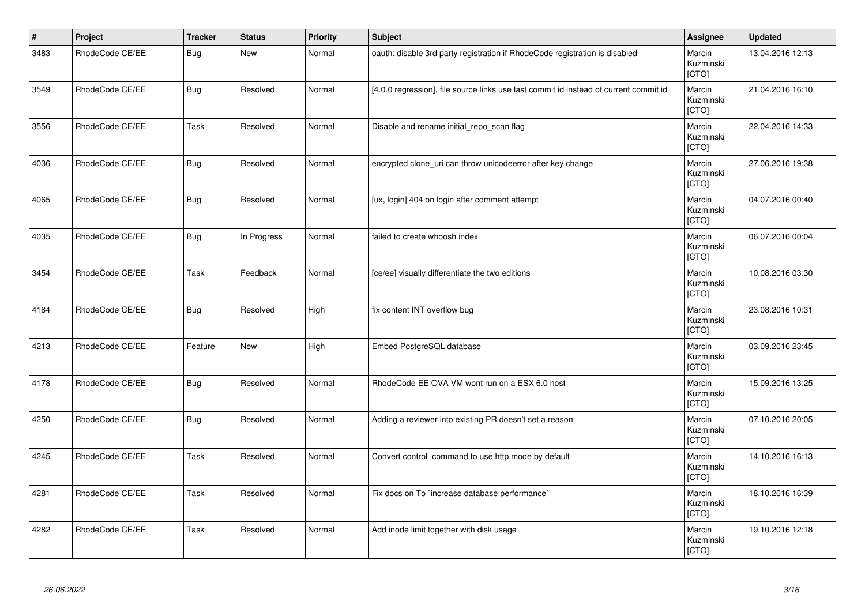| $\vert$ # | Project         | <b>Tracker</b> | <b>Status</b> | <b>Priority</b> | <b>Subject</b>                                                                        | Assignee                     | <b>Updated</b>   |
|-----------|-----------------|----------------|---------------|-----------------|---------------------------------------------------------------------------------------|------------------------------|------------------|
| 3483      | RhodeCode CE/EE | <b>Bug</b>     | <b>New</b>    | Normal          | oauth: disable 3rd party registration if RhodeCode registration is disabled           | Marcin<br>Kuzminski<br>[CTO] | 13.04.2016 12:13 |
| 3549      | RhodeCode CE/EE | <b>Bug</b>     | Resolved      | Normal          | [4.0.0 regression], file source links use last commit id instead of current commit id | Marcin<br>Kuzminski<br>[CTO] | 21.04.2016 16:10 |
| 3556      | RhodeCode CE/EE | Task           | Resolved      | Normal          | Disable and rename initial repo scan flag                                             | Marcin<br>Kuzminski<br>[CTO] | 22.04.2016 14:33 |
| 4036      | RhodeCode CE/EE | <b>Bug</b>     | Resolved      | Normal          | encrypted clone_uri can throw unicodeerror after key change                           | Marcin<br>Kuzminski<br>[CTO] | 27.06.2016 19:38 |
| 4065      | RhodeCode CE/EE | <b>Bug</b>     | Resolved      | Normal          | [ux, login] 404 on login after comment attempt                                        | Marcin<br>Kuzminski<br>[CTO] | 04.07.2016 00:40 |
| 4035      | RhodeCode CE/EE | <b>Bug</b>     | In Progress   | Normal          | failed to create whoosh index                                                         | Marcin<br>Kuzminski<br>[CTO] | 06.07.2016 00:04 |
| 3454      | RhodeCode CE/EE | Task           | Feedback      | Normal          | [ce/ee] visually differentiate the two editions                                       | Marcin<br>Kuzminski<br>[CTO] | 10.08.2016 03:30 |
| 4184      | RhodeCode CE/EE | <b>Bug</b>     | Resolved      | High            | fix content INT overflow bug                                                          | Marcin<br>Kuzminski<br>[CTO] | 23.08.2016 10:31 |
| 4213      | RhodeCode CE/EE | Feature        | New           | High            | Embed PostgreSQL database                                                             | Marcin<br>Kuzminski<br>[CTO] | 03.09.2016 23:45 |
| 4178      | RhodeCode CE/EE | Bug            | Resolved      | Normal          | RhodeCode EE OVA VM wont run on a ESX 6.0 host                                        | Marcin<br>Kuzminski<br>[CTO] | 15.09.2016 13:25 |
| 4250      | RhodeCode CE/EE | <b>Bug</b>     | Resolved      | Normal          | Adding a reviewer into existing PR doesn't set a reason.                              | Marcin<br>Kuzminski<br>[CTO] | 07.10.2016 20:05 |
| 4245      | RhodeCode CE/EE | Task           | Resolved      | Normal          | Convert control command to use http mode by default                                   | Marcin<br>Kuzminski<br>[CTO] | 14.10.2016 16:13 |
| 4281      | RhodeCode CE/EE | Task           | Resolved      | Normal          | Fix docs on To `increase database performance`                                        | Marcin<br>Kuzminski<br>[CTO] | 18.10.2016 16:39 |
| 4282      | RhodeCode CE/EE | Task           | Resolved      | Normal          | Add inode limit together with disk usage                                              | Marcin<br>Kuzminski<br>[CTO] | 19.10.2016 12:18 |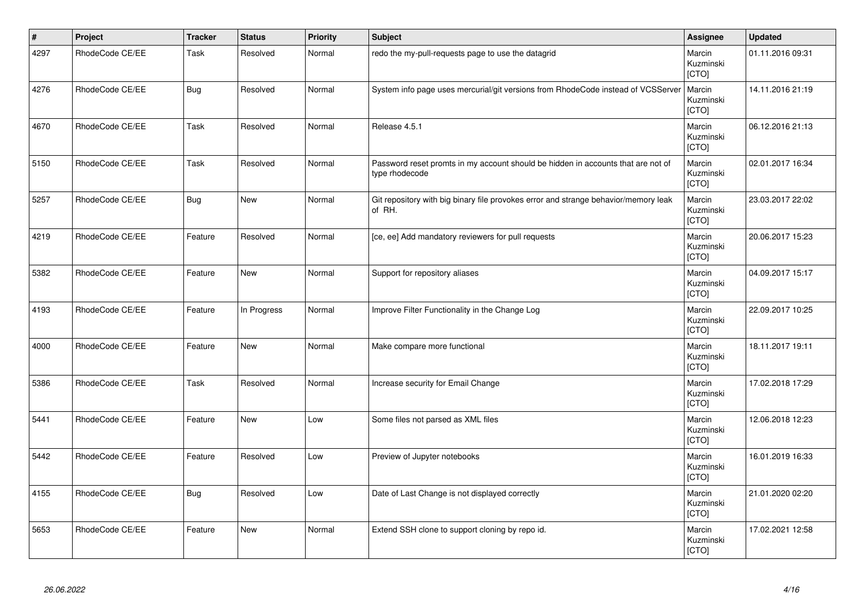| $\vert$ # | Project         | <b>Tracker</b> | <b>Status</b> | <b>Priority</b> | <b>Subject</b>                                                                                     | Assignee                     | <b>Updated</b>   |
|-----------|-----------------|----------------|---------------|-----------------|----------------------------------------------------------------------------------------------------|------------------------------|------------------|
| 4297      | RhodeCode CE/EE | Task           | Resolved      | Normal          | redo the my-pull-requests page to use the datagrid                                                 | Marcin<br>Kuzminski<br>[CTO] | 01.11.2016 09:31 |
| 4276      | RhodeCode CE/EE | <b>Bug</b>     | Resolved      | Normal          | System info page uses mercurial/git versions from RhodeCode instead of VCSServer                   | Marcin<br>Kuzminski<br>[CTO] | 14.11.2016 21:19 |
| 4670      | RhodeCode CE/EE | Task           | Resolved      | Normal          | Release 4.5.1                                                                                      | Marcin<br>Kuzminski<br>[CTO] | 06.12.2016 21:13 |
| 5150      | RhodeCode CE/EE | Task           | Resolved      | Normal          | Password reset promts in my account should be hidden in accounts that are not of<br>type rhodecode | Marcin<br>Kuzminski<br>[CTO] | 02.01.2017 16:34 |
| 5257      | RhodeCode CE/EE | <b>Bug</b>     | <b>New</b>    | Normal          | Git repository with big binary file provokes error and strange behavior/memory leak<br>of RH.      | Marcin<br>Kuzminski<br>[CTO] | 23.03.2017 22:02 |
| 4219      | RhodeCode CE/EE | Feature        | Resolved      | Normal          | [ce, ee] Add mandatory reviewers for pull requests                                                 | Marcin<br>Kuzminski<br>[CTO] | 20.06.2017 15:23 |
| 5382      | RhodeCode CE/EE | Feature        | <b>New</b>    | Normal          | Support for repository aliases                                                                     | Marcin<br>Kuzminski<br>[CTO] | 04.09.2017 15:17 |
| 4193      | RhodeCode CE/EE | Feature        | In Progress   | Normal          | Improve Filter Functionality in the Change Log                                                     | Marcin<br>Kuzminski<br>[CTO] | 22.09.2017 10:25 |
| 4000      | RhodeCode CE/EE | Feature        | <b>New</b>    | Normal          | Make compare more functional                                                                       | Marcin<br>Kuzminski<br>[CTO] | 18.11.2017 19:11 |
| 5386      | RhodeCode CE/EE | Task           | Resolved      | Normal          | Increase security for Email Change                                                                 | Marcin<br>Kuzminski<br>[CTO] | 17.02.2018 17:29 |
| 5441      | RhodeCode CE/EE | Feature        | <b>New</b>    | Low             | Some files not parsed as XML files                                                                 | Marcin<br>Kuzminski<br>[CTO] | 12.06.2018 12:23 |
| 5442      | RhodeCode CE/EE | Feature        | Resolved      | Low             | Preview of Jupyter notebooks                                                                       | Marcin<br>Kuzminski<br>[CTO] | 16.01.2019 16:33 |
| 4155      | RhodeCode CE/EE | Bug            | Resolved      | Low             | Date of Last Change is not displayed correctly                                                     | Marcin<br>Kuzminski<br>[CTO] | 21.01.2020 02:20 |
| 5653      | RhodeCode CE/EE | Feature        | <b>New</b>    | Normal          | Extend SSH clone to support cloning by repo id.                                                    | Marcin<br>Kuzminski<br>[CTO] | 17.02.2021 12:58 |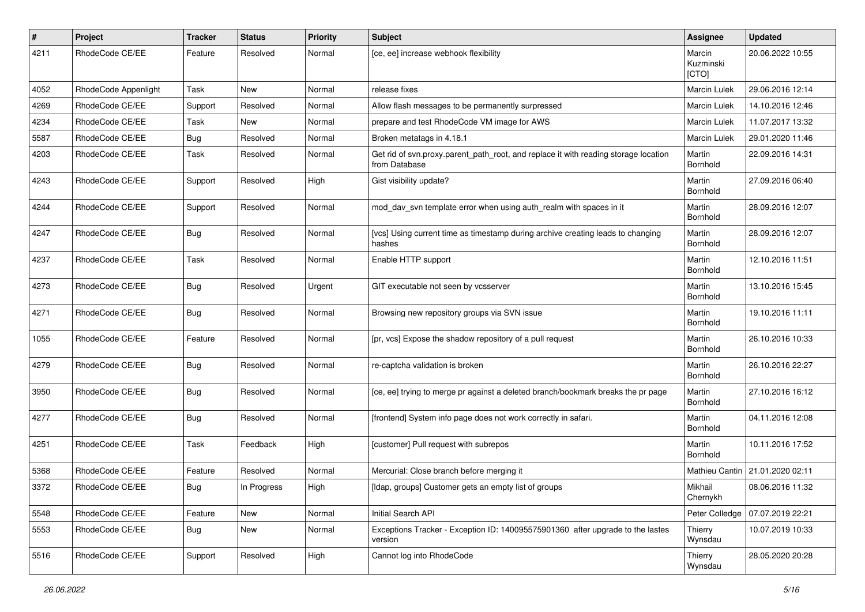| $\pmb{\#}$ | Project              | Tracker | <b>Status</b> | <b>Priority</b> | <b>Subject</b>                                                                                       | Assignee                     | <b>Updated</b>                  |
|------------|----------------------|---------|---------------|-----------------|------------------------------------------------------------------------------------------------------|------------------------------|---------------------------------|
| 4211       | RhodeCode CE/EE      | Feature | Resolved      | Normal          | [ce, ee] increase webhook flexibility                                                                | Marcin<br>Kuzminski<br>[CTO] | 20.06.2022 10:55                |
| 4052       | RhodeCode Appenlight | Task    | New           | Normal          | release fixes                                                                                        | Marcin Lulek                 | 29.06.2016 12:14                |
| 4269       | RhodeCode CE/EE      | Support | Resolved      | Normal          | Allow flash messages to be permanently surpressed                                                    | Marcin Lulek                 | 14.10.2016 12:46                |
| 4234       | RhodeCode CE/EE      | Task    | New           | Normal          | prepare and test RhodeCode VM image for AWS                                                          | Marcin Lulek                 | 11.07.2017 13:32                |
| 5587       | RhodeCode CE/EE      | Bug     | Resolved      | Normal          | Broken metatags in 4.18.1                                                                            | <b>Marcin Lulek</b>          | 29.01.2020 11:46                |
| 4203       | RhodeCode CE/EE      | Task    | Resolved      | Normal          | Get rid of svn.proxy.parent_path_root, and replace it with reading storage location<br>from Database | Martin<br>Bornhold           | 22.09.2016 14:31                |
| 4243       | RhodeCode CE/EE      | Support | Resolved      | High            | Gist visibility update?                                                                              | Martin<br>Bornhold           | 27.09.2016 06:40                |
| 4244       | RhodeCode CE/EE      | Support | Resolved      | Normal          | mod_dav_svn template error when using auth_realm with spaces in it                                   | Martin<br>Bornhold           | 28.09.2016 12:07                |
| 4247       | RhodeCode CE/EE      | Bug     | Resolved      | Normal          | [vcs] Using current time as timestamp during archive creating leads to changing<br>hashes            | Martin<br>Bornhold           | 28.09.2016 12:07                |
| 4237       | RhodeCode CE/EE      | Task    | Resolved      | Normal          | Enable HTTP support                                                                                  | Martin<br>Bornhold           | 12.10.2016 11:51                |
| 4273       | RhodeCode CE/EE      | Bug     | Resolved      | Urgent          | GIT executable not seen by vcsserver                                                                 | Martin<br>Bornhold           | 13.10.2016 15:45                |
| 4271       | RhodeCode CE/EE      | Bug     | Resolved      | Normal          | Browsing new repository groups via SVN issue                                                         | Martin<br>Bornhold           | 19.10.2016 11:11                |
| 1055       | RhodeCode CE/EE      | Feature | Resolved      | Normal          | [pr, vcs] Expose the shadow repository of a pull request                                             | Martin<br>Bornhold           | 26.10.2016 10:33                |
| 4279       | RhodeCode CE/EE      | Bug     | Resolved      | Normal          | re-captcha validation is broken                                                                      | Martin<br>Bornhold           | 26.10.2016 22:27                |
| 3950       | RhodeCode CE/EE      | Bug     | Resolved      | Normal          | [ce, ee] trying to merge pr against a deleted branch/bookmark breaks the pr page                     | Martin<br>Bornhold           | 27.10.2016 16:12                |
| 4277       | RhodeCode CE/EE      | Bug     | Resolved      | Normal          | [frontend] System info page does not work correctly in safari.                                       | Martin<br>Bornhold           | 04.11.2016 12:08                |
| 4251       | RhodeCode CE/EE      | Task    | Feedback      | High            | [customer] Pull request with subrepos                                                                | Martin<br>Bornhold           | 10.11.2016 17:52                |
| 5368       | RhodeCode CE/EE      | Feature | Resolved      | Normal          | Mercurial: Close branch before merging it                                                            |                              | Mathieu Cantin 21.01.2020 02:11 |
| 3372       | RhodeCode CE/EE      | Bug     | In Progress   | High            | [Idap, groups] Customer gets an empty list of groups                                                 | Mikhail<br>Chernykh          | 08.06.2016 11:32                |
| 5548       | RhodeCode CE/EE      | Feature | New           | Normal          | Initial Search API                                                                                   | Peter Colledge               | 07.07.2019 22:21                |
| 5553       | RhodeCode CE/EE      | Bug     | New           | Normal          | Exceptions Tracker - Exception ID: 140095575901360 after upgrade to the lastes<br>version            | Thierry<br>Wynsdau           | 10.07.2019 10:33                |
| 5516       | RhodeCode CE/EE      | Support | Resolved      | High            | Cannot log into RhodeCode                                                                            | Thierry<br>Wynsdau           | 28.05.2020 20:28                |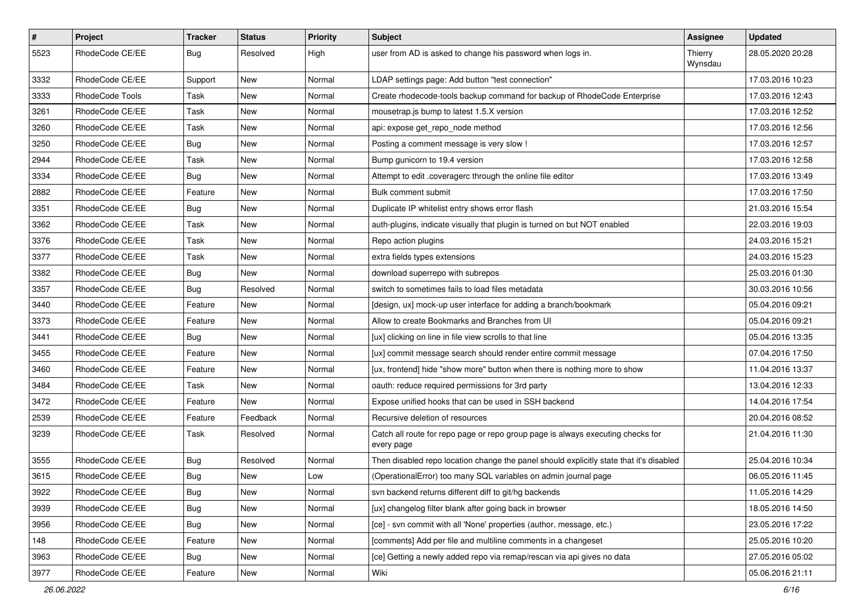| $\#$ | Project         | Tracker    | <b>Status</b> | <b>Priority</b> | Subject                                                                                       | Assignee           | <b>Updated</b>   |
|------|-----------------|------------|---------------|-----------------|-----------------------------------------------------------------------------------------------|--------------------|------------------|
| 5523 | RhodeCode CE/EE | <b>Bug</b> | Resolved      | High            | user from AD is asked to change his password when logs in.                                    | Thierry<br>Wynsdau | 28.05.2020 20:28 |
| 3332 | RhodeCode CE/EE | Support    | New           | Normal          | LDAP settings page: Add button "test connection"                                              |                    | 17.03.2016 10:23 |
| 3333 | RhodeCode Tools | Task       | New           | Normal          | Create rhodecode-tools backup command for backup of RhodeCode Enterprise                      |                    | 17.03.2016 12:43 |
| 3261 | RhodeCode CE/EE | Task       | New           | Normal          | mousetrap.js bump to latest 1.5.X version                                                     |                    | 17.03.2016 12:52 |
| 3260 | RhodeCode CE/EE | Task       | New           | Normal          | api: expose get_repo_node method                                                              |                    | 17.03.2016 12:56 |
| 3250 | RhodeCode CE/EE | Bug        | New           | Normal          | Posting a comment message is very slow !                                                      |                    | 17.03.2016 12:57 |
| 2944 | RhodeCode CE/EE | Task       | New           | Normal          | Bump gunicorn to 19.4 version                                                                 |                    | 17.03.2016 12:58 |
| 3334 | RhodeCode CE/EE | <b>Bug</b> | New           | Normal          | Attempt to edit .coveragerc through the online file editor                                    |                    | 17.03.2016 13:49 |
| 2882 | RhodeCode CE/EE | Feature    | New           | Normal          | Bulk comment submit                                                                           |                    | 17.03.2016 17:50 |
| 3351 | RhodeCode CE/EE | Bug        | New           | Normal          | Duplicate IP whitelist entry shows error flash                                                |                    | 21.03.2016 15:54 |
| 3362 | RhodeCode CE/EE | Task       | New           | Normal          | auth-plugins, indicate visually that plugin is turned on but NOT enabled                      |                    | 22.03.2016 19:03 |
| 3376 | RhodeCode CE/EE | Task       | New           | Normal          | Repo action plugins                                                                           |                    | 24.03.2016 15:21 |
| 3377 | RhodeCode CE/EE | Task       | New           | Normal          | extra fields types extensions                                                                 |                    | 24.03.2016 15:23 |
| 3382 | RhodeCode CE/EE | <b>Bug</b> | New           | Normal          | download superrepo with subrepos                                                              |                    | 25.03.2016 01:30 |
| 3357 | RhodeCode CE/EE | Bug        | Resolved      | Normal          | switch to sometimes fails to load files metadata                                              |                    | 30.03.2016 10:56 |
| 3440 | RhodeCode CE/EE | Feature    | New           | Normal          | [design, ux] mock-up user interface for adding a branch/bookmark                              |                    | 05.04.2016 09:21 |
| 3373 | RhodeCode CE/EE | Feature    | New           | Normal          | Allow to create Bookmarks and Branches from UI                                                |                    | 05.04.2016 09:21 |
| 3441 | RhodeCode CE/EE | <b>Bug</b> | New           | Normal          | [ux] clicking on line in file view scrolls to that line                                       |                    | 05.04.2016 13:35 |
| 3455 | RhodeCode CE/EE | Feature    | New           | Normal          | [ux] commit message search should render entire commit message                                |                    | 07.04.2016 17:50 |
| 3460 | RhodeCode CE/EE | Feature    | New           | Normal          | [ux, frontend] hide "show more" button when there is nothing more to show                     |                    | 11.04.2016 13:37 |
| 3484 | RhodeCode CE/EE | Task       | New           | Normal          | oauth: reduce required permissions for 3rd party                                              |                    | 13.04.2016 12:33 |
| 3472 | RhodeCode CE/EE | Feature    | New           | Normal          | Expose unified hooks that can be used in SSH backend                                          |                    | 14.04.2016 17:54 |
| 2539 | RhodeCode CE/EE | Feature    | Feedback      | Normal          | Recursive deletion of resources                                                               |                    | 20.04.2016 08:52 |
| 3239 | RhodeCode CE/EE | Task       | Resolved      | Normal          | Catch all route for repo page or repo group page is always executing checks for<br>every page |                    | 21.04.2016 11:30 |
| 3555 | RhodeCode CE/EE | <b>Bug</b> | Resolved      | Normal          | Then disabled repo location change the panel should explicitly state that it's disabled       |                    | 25.04.2016 10:34 |
| 3615 | RhodeCode CE/EE | <b>Bug</b> | New           | Low             | (OperationalError) too many SQL variables on admin journal page                               |                    | 06.05.2016 11:45 |
| 3922 | RhodeCode CE/EE | <b>Bug</b> | New           | Normal          | svn backend returns different diff to git/hg backends                                         |                    | 11.05.2016 14:29 |
| 3939 | RhodeCode CE/EE | <b>Bug</b> | New           | Normal          | [ux] changelog filter blank after going back in browser                                       |                    | 18.05.2016 14:50 |
| 3956 | RhodeCode CE/EE | Bug        | New           | Normal          | [ce] - svn commit with all 'None' properties (author, message, etc.)                          |                    | 23.05.2016 17:22 |
| 148  | RhodeCode CE/EE | Feature    | New           | Normal          | [comments] Add per file and multiline comments in a changeset                                 |                    | 25.05.2016 10:20 |
| 3963 | RhodeCode CE/EE | Bug        | New           | Normal          | [ce] Getting a newly added repo via remap/rescan via api gives no data                        |                    | 27.05.2016 05:02 |
| 3977 | RhodeCode CE/EE | Feature    | New           | Normal          | Wiki                                                                                          |                    | 05.06.2016 21:11 |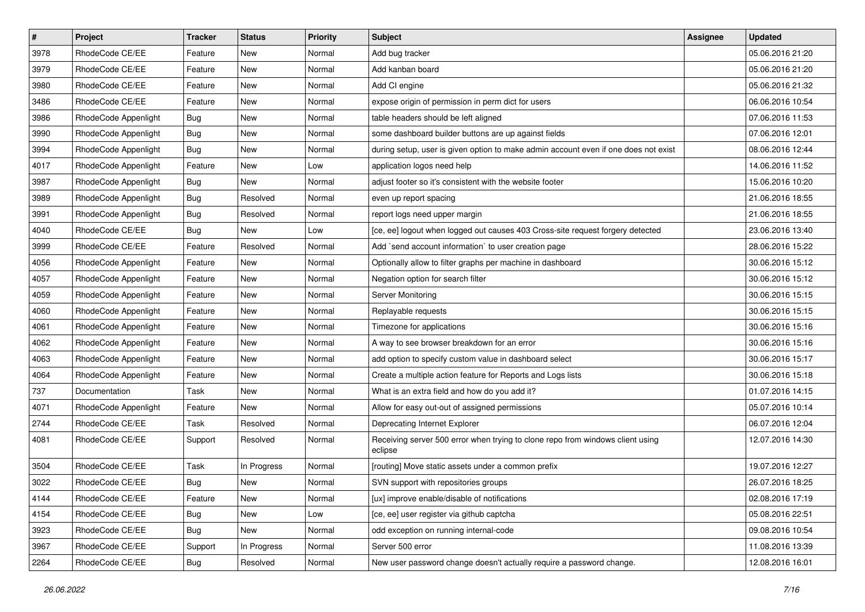| $\vert$ # | Project              | Tracker    | <b>Status</b> | <b>Priority</b> | Subject                                                                                   | Assignee | <b>Updated</b>   |
|-----------|----------------------|------------|---------------|-----------------|-------------------------------------------------------------------------------------------|----------|------------------|
| 3978      | RhodeCode CE/EE      | Feature    | New           | Normal          | Add bug tracker                                                                           |          | 05.06.2016 21:20 |
| 3979      | RhodeCode CE/EE      | Feature    | <b>New</b>    | Normal          | Add kanban board                                                                          |          | 05.06.2016 21:20 |
| 3980      | RhodeCode CE/EE      | Feature    | New           | Normal          | Add CI engine                                                                             |          | 05.06.2016 21:32 |
| 3486      | RhodeCode CE/EE      | Feature    | New           | Normal          | expose origin of permission in perm dict for users                                        |          | 06.06.2016 10:54 |
| 3986      | RhodeCode Appenlight | Bug        | New           | Normal          | table headers should be left aligned                                                      |          | 07.06.2016 11:53 |
| 3990      | RhodeCode Appenlight | <b>Bug</b> | New           | Normal          | some dashboard builder buttons are up against fields                                      |          | 07.06.2016 12:01 |
| 3994      | RhodeCode Appenlight | <b>Bug</b> | New           | Normal          | during setup, user is given option to make admin account even if one does not exist       |          | 08.06.2016 12:44 |
| 4017      | RhodeCode Appenlight | Feature    | New           | Low             | application logos need help                                                               |          | 14.06.2016 11:52 |
| 3987      | RhodeCode Appenlight | <b>Bug</b> | New           | Normal          | adjust footer so it's consistent with the website footer                                  |          | 15.06.2016 10:20 |
| 3989      | RhodeCode Appenlight | Bug        | Resolved      | Normal          | even up report spacing                                                                    |          | 21.06.2016 18:55 |
| 3991      | RhodeCode Appenlight | <b>Bug</b> | Resolved      | Normal          | report logs need upper margin                                                             |          | 21.06.2016 18:55 |
| 4040      | RhodeCode CE/EE      | Bug        | New           | Low             | [ce, ee] logout when logged out causes 403 Cross-site request forgery detected            |          | 23.06.2016 13:40 |
| 3999      | RhodeCode CE/EE      | Feature    | Resolved      | Normal          | Add `send account information` to user creation page                                      |          | 28.06.2016 15:22 |
| 4056      | RhodeCode Appenlight | Feature    | New           | Normal          | Optionally allow to filter graphs per machine in dashboard                                |          | 30.06.2016 15:12 |
| 4057      | RhodeCode Appenlight | Feature    | New           | Normal          | Negation option for search filter                                                         |          | 30.06.2016 15:12 |
| 4059      | RhodeCode Appenlight | Feature    | New           | Normal          | Server Monitoring                                                                         |          | 30.06.2016 15:15 |
| 4060      | RhodeCode Appenlight | Feature    | New           | Normal          | Replayable requests                                                                       |          | 30.06.2016 15:15 |
| 4061      | RhodeCode Appenlight | Feature    | New           | Normal          | Timezone for applications                                                                 |          | 30.06.2016 15:16 |
| 4062      | RhodeCode Appenlight | Feature    | New           | Normal          | A way to see browser breakdown for an error                                               |          | 30.06.2016 15:16 |
| 4063      | RhodeCode Appenlight | Feature    | <b>New</b>    | Normal          | add option to specify custom value in dashboard select                                    |          | 30.06.2016 15:17 |
| 4064      | RhodeCode Appenlight | Feature    | New           | Normal          | Create a multiple action feature for Reports and Logs lists                               |          | 30.06.2016 15:18 |
| 737       | Documentation        | Task       | New           | Normal          | What is an extra field and how do you add it?                                             |          | 01.07.2016 14:15 |
| 4071      | RhodeCode Appenlight | Feature    | <b>New</b>    | Normal          | Allow for easy out-out of assigned permissions                                            |          | 05.07.2016 10:14 |
| 2744      | RhodeCode CE/EE      | Task       | Resolved      | Normal          | Deprecating Internet Explorer                                                             |          | 06.07.2016 12:04 |
| 4081      | RhodeCode CE/EE      | Support    | Resolved      | Normal          | Receiving server 500 error when trying to clone repo from windows client using<br>eclipse |          | 12.07.2016 14:30 |
| 3504      | RhodeCode CE/EE      | Task       | In Progress   | Normal          | [routing] Move static assets under a common prefix                                        |          | 19.07.2016 12:27 |
| 3022      | RhodeCode CE/EE      | <b>Bug</b> | New           | Normal          | SVN support with repositories groups                                                      |          | 26.07.2016 18:25 |
| 4144      | RhodeCode CE/EE      | Feature    | New           | Normal          | [ux] improve enable/disable of notifications                                              |          | 02.08.2016 17:19 |
| 4154      | RhodeCode CE/EE      | Bug        | New           | Low             | [ce, ee] user register via github captcha                                                 |          | 05.08.2016 22:51 |
| 3923      | RhodeCode CE/EE      | <b>Bug</b> | New           | Normal          | odd exception on running internal-code                                                    |          | 09.08.2016 10:54 |
| 3967      | RhodeCode CE/EE      | Support    | In Progress   | Normal          | Server 500 error                                                                          |          | 11.08.2016 13:39 |
| 2264      | RhodeCode CE/EE      | Bug        | Resolved      | Normal          | New user password change doesn't actually require a password change.                      |          | 12.08.2016 16:01 |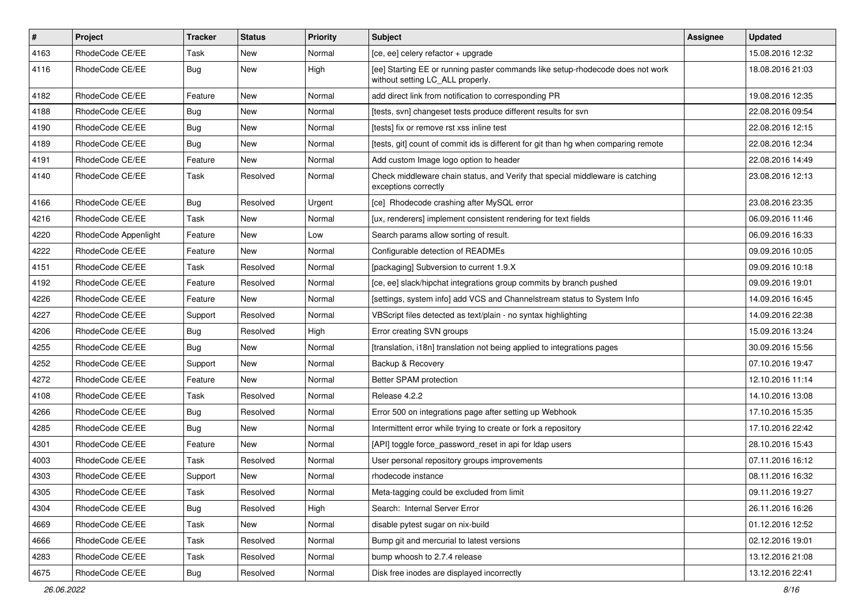| $\vert$ # | Project              | <b>Tracker</b> | <b>Status</b> | <b>Priority</b> | <b>Subject</b>                                                                                                     | Assignee | <b>Updated</b>   |
|-----------|----------------------|----------------|---------------|-----------------|--------------------------------------------------------------------------------------------------------------------|----------|------------------|
| 4163      | RhodeCode CE/EE      | Task           | New           | Normal          | [ce, ee] celery refactor + upgrade                                                                                 |          | 15.08.2016 12:32 |
| 4116      | RhodeCode CE/EE      | Bug            | New           | High            | [ee] Starting EE or running paster commands like setup-rhodecode does not work<br>without setting LC_ALL properly. |          | 18.08.2016 21:03 |
| 4182      | RhodeCode CE/EE      | Feature        | New           | Normal          | add direct link from notification to corresponding PR                                                              |          | 19.08.2016 12:35 |
| 4188      | RhodeCode CE/EE      | Bug            | <b>New</b>    | Normal          | [tests, svn] changeset tests produce different results for svn                                                     |          | 22.08.2016 09:54 |
| 4190      | RhodeCode CE/EE      | <b>Bug</b>     | New           | Normal          | [tests] fix or remove rst xss inline test                                                                          |          | 22.08.2016 12:15 |
| 4189      | RhodeCode CE/EE      | Bug            | New           | Normal          | [tests, git] count of commit ids is different for git than hg when comparing remote                                |          | 22.08.2016 12:34 |
| 4191      | RhodeCode CE/EE      | Feature        | <b>New</b>    | Normal          | Add custom Image logo option to header                                                                             |          | 22.08.2016 14:49 |
| 4140      | RhodeCode CE/EE      | Task           | Resolved      | Normal          | Check middleware chain status, and Verify that special middleware is catching<br>exceptions correctly              |          | 23.08.2016 12:13 |
| 4166      | RhodeCode CE/EE      | Bug            | Resolved      | Urgent          | [ce] Rhodecode crashing after MySQL error                                                                          |          | 23.08.2016 23:35 |
| 4216      | RhodeCode CE/EE      | Task           | New           | Normal          | [ux, renderers] implement consistent rendering for text fields                                                     |          | 06.09.2016 11:46 |
| 4220      | RhodeCode Appenlight | Feature        | <b>New</b>    | Low             | Search params allow sorting of result.                                                                             |          | 06.09.2016 16:33 |
| 4222      | RhodeCode CE/EE      | Feature        | New           | Normal          | Configurable detection of READMEs                                                                                  |          | 09.09.2016 10:05 |
| 4151      | RhodeCode CE/EE      | Task           | Resolved      | Normal          | [packaging] Subversion to current 1.9.X                                                                            |          | 09.09.2016 10:18 |
| 4192      | RhodeCode CE/EE      | Feature        | Resolved      | Normal          | [ce, ee] slack/hipchat integrations group commits by branch pushed                                                 |          | 09.09.2016 19:01 |
| 4226      | RhodeCode CE/EE      | Feature        | New           | Normal          | [settings, system info] add VCS and Channelstream status to System Info                                            |          | 14.09.2016 16:45 |
| 4227      | RhodeCode CE/EE      | Support        | Resolved      | Normal          | VBScript files detected as text/plain - no syntax highlighting                                                     |          | 14.09.2016 22:38 |
| 4206      | RhodeCode CE/EE      | <b>Bug</b>     | Resolved      | High            | Error creating SVN groups                                                                                          |          | 15.09.2016 13:24 |
| 4255      | RhodeCode CE/EE      | <b>Bug</b>     | New           | Normal          | [translation, i18n] translation not being applied to integrations pages                                            |          | 30.09.2016 15:56 |
| 4252      | RhodeCode CE/EE      | Support        | <b>New</b>    | Normal          | Backup & Recovery                                                                                                  |          | 07.10.2016 19:47 |
| 4272      | RhodeCode CE/EE      | Feature        | New           | Normal          | Better SPAM protection                                                                                             |          | 12.10.2016 11:14 |
| 4108      | RhodeCode CE/EE      | Task           | Resolved      | Normal          | Release 4.2.2                                                                                                      |          | 14.10.2016 13:08 |
| 4266      | RhodeCode CE/EE      | <b>Bug</b>     | Resolved      | Normal          | Error 500 on integrations page after setting up Webhook                                                            |          | 17.10.2016 15:35 |
| 4285      | RhodeCode CE/EE      | <b>Bug</b>     | New           | Normal          | Intermittent error while trying to create or fork a repository                                                     |          | 17.10.2016 22:42 |
| 4301      | RhodeCode CE/EE      | Feature        | <b>New</b>    | Normal          | [API] toggle force_password_reset in api for Idap users                                                            |          | 28.10.2016 15:43 |
| 4003      | RhodeCode CE/EE      | Task           | Resolved      | Normal          | User personal repository groups improvements                                                                       |          | 07.11.2016 16:12 |
| 4303      | RhodeCode CE/EE      | Support        | New           | Normal          | rhodecode instance                                                                                                 |          | 08.11.2016 16:32 |
| 4305      | RhodeCode CE/EE      | Task           | Resolved      | Normal          | Meta-tagging could be excluded from limit                                                                          |          | 09.11.2016 19:27 |
| 4304      | RhodeCode CE/EE      | Bug            | Resolved      | High            | Search: Internal Server Error                                                                                      |          | 26.11.2016 16:26 |
| 4669      | RhodeCode CE/EE      | Task           | <b>New</b>    | Normal          | disable pytest sugar on nix-build                                                                                  |          | 01.12.2016 12:52 |
| 4666      | RhodeCode CE/EE      | Task           | Resolved      | Normal          | Bump git and mercurial to latest versions                                                                          |          | 02.12.2016 19:01 |
| 4283      | RhodeCode CE/EE      | Task           | Resolved      | Normal          | bump whoosh to 2.7.4 release                                                                                       |          | 13.12.2016 21:08 |
| 4675      | RhodeCode CE/EE      | <b>Bug</b>     | Resolved      | Normal          | Disk free inodes are displayed incorrectly                                                                         |          | 13.12.2016 22:41 |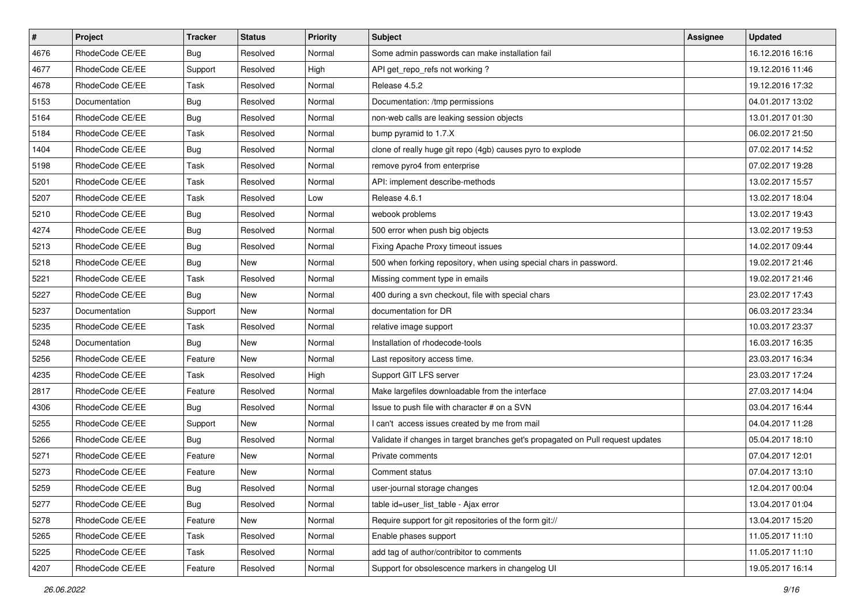| $\sharp$ | Project         | <b>Tracker</b> | <b>Status</b> | Priority | Subject                                                                         | Assignee | <b>Updated</b>   |
|----------|-----------------|----------------|---------------|----------|---------------------------------------------------------------------------------|----------|------------------|
| 4676     | RhodeCode CE/EE | <b>Bug</b>     | Resolved      | Normal   | Some admin passwords can make installation fail                                 |          | 16.12.2016 16:16 |
| 4677     | RhodeCode CE/EE | Support        | Resolved      | High     | API get_repo_refs not working?                                                  |          | 19.12.2016 11:46 |
| 4678     | RhodeCode CE/EE | Task           | Resolved      | Normal   | Release 4.5.2                                                                   |          | 19.12.2016 17:32 |
| 5153     | Documentation   | <b>Bug</b>     | Resolved      | Normal   | Documentation: /tmp permissions                                                 |          | 04.01.2017 13:02 |
| 5164     | RhodeCode CE/EE | Bug            | Resolved      | Normal   | non-web calls are leaking session objects                                       |          | 13.01.2017 01:30 |
| 5184     | RhodeCode CE/EE | Task           | Resolved      | Normal   | bump pyramid to 1.7.X                                                           |          | 06.02.2017 21:50 |
| 1404     | RhodeCode CE/EE | Bug            | Resolved      | Normal   | clone of really huge git repo (4gb) causes pyro to explode                      |          | 07.02.2017 14:52 |
| 5198     | RhodeCode CE/EE | Task           | Resolved      | Normal   | remove pyro4 from enterprise                                                    |          | 07.02.2017 19:28 |
| 5201     | RhodeCode CE/EE | Task           | Resolved      | Normal   | API: implement describe-methods                                                 |          | 13.02.2017 15:57 |
| 5207     | RhodeCode CE/EE | Task           | Resolved      | Low      | Release 4.6.1                                                                   |          | 13.02.2017 18:04 |
| 5210     | RhodeCode CE/EE | <b>Bug</b>     | Resolved      | Normal   | webook problems                                                                 |          | 13.02.2017 19:43 |
| 4274     | RhodeCode CE/EE | Bug            | Resolved      | Normal   | 500 error when push big objects                                                 |          | 13.02.2017 19:53 |
| 5213     | RhodeCode CE/EE | Bug            | Resolved      | Normal   | Fixing Apache Proxy timeout issues                                              |          | 14.02.2017 09:44 |
| 5218     | RhodeCode CE/EE | <b>Bug</b>     | <b>New</b>    | Normal   | 500 when forking repository, when using special chars in password.              |          | 19.02.2017 21:46 |
| 5221     | RhodeCode CE/EE | Task           | Resolved      | Normal   | Missing comment type in emails                                                  |          | 19.02.2017 21:46 |
| 5227     | RhodeCode CE/EE | Bug            | New           | Normal   | 400 during a svn checkout, file with special chars                              |          | 23.02.2017 17:43 |
| 5237     | Documentation   | Support        | New           | Normal   | documentation for DR                                                            |          | 06.03.2017 23:34 |
| 5235     | RhodeCode CE/EE | Task           | Resolved      | Normal   | relative image support                                                          |          | 10.03.2017 23:37 |
| 5248     | Documentation   | Bug            | New           | Normal   | Installation of rhodecode-tools                                                 |          | 16.03.2017 16:35 |
| 5256     | RhodeCode CE/EE | Feature        | New           | Normal   | Last repository access time.                                                    |          | 23.03.2017 16:34 |
| 4235     | RhodeCode CE/EE | Task           | Resolved      | High     | Support GIT LFS server                                                          |          | 23.03.2017 17:24 |
| 2817     | RhodeCode CE/EE | Feature        | Resolved      | Normal   | Make largefiles downloadable from the interface                                 |          | 27.03.2017 14:04 |
| 4306     | RhodeCode CE/EE | Bug            | Resolved      | Normal   | Issue to push file with character # on a SVN                                    |          | 03.04.2017 16:44 |
| 5255     | RhodeCode CE/EE | Support        | <b>New</b>    | Normal   | I can't access issues created by me from mail                                   |          | 04.04.2017 11:28 |
| 5266     | RhodeCode CE/EE | <b>Bug</b>     | Resolved      | Normal   | Validate if changes in target branches get's propagated on Pull request updates |          | 05.04.2017 18:10 |
| 5271     | RhodeCode CE/EE | Feature        | <b>New</b>    | Normal   | Private comments                                                                |          | 07.04.2017 12:01 |
| 5273     | RhodeCode CE/EE | Feature        | New           | Normal   | Comment status                                                                  |          | 07.04.2017 13:10 |
| 5259     | RhodeCode CE/EE | <b>Bug</b>     | Resolved      | Normal   | user-journal storage changes                                                    |          | 12.04.2017 00:04 |
| 5277     | RhodeCode CE/EE | Bug            | Resolved      | Normal   | table id=user list table - Ajax error                                           |          | 13.04.2017 01:04 |
| 5278     | RhodeCode CE/EE | Feature        | New           | Normal   | Require support for git repositories of the form git://                         |          | 13.04.2017 15:20 |
| 5265     | RhodeCode CE/EE | Task           | Resolved      | Normal   | Enable phases support                                                           |          | 11.05.2017 11:10 |
| 5225     | RhodeCode CE/EE | Task           | Resolved      | Normal   | add tag of author/contribitor to comments                                       |          | 11.05.2017 11:10 |
| 4207     | RhodeCode CE/EE | Feature        | Resolved      | Normal   | Support for obsolescence markers in changelog UI                                |          | 19.05.2017 16:14 |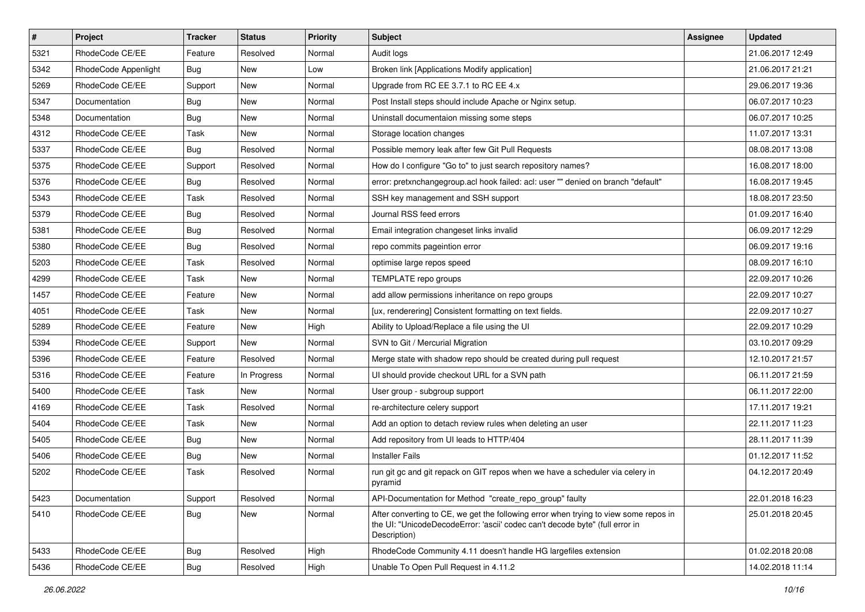| $\vert$ # | Project              | <b>Tracker</b> | <b>Status</b> | <b>Priority</b> | <b>Subject</b>                                                                                                                                                                       | <b>Assignee</b> | <b>Updated</b>   |
|-----------|----------------------|----------------|---------------|-----------------|--------------------------------------------------------------------------------------------------------------------------------------------------------------------------------------|-----------------|------------------|
| 5321      | RhodeCode CE/EE      | Feature        | Resolved      | Normal          | Audit logs                                                                                                                                                                           |                 | 21.06.2017 12:49 |
| 5342      | RhodeCode Appenlight | Bug            | <b>New</b>    | Low             | Broken link [Applications Modify application]                                                                                                                                        |                 | 21.06.2017 21:21 |
| 5269      | RhodeCode CE/EE      | Support        | New           | Normal          | Upgrade from RC EE 3.7.1 to RC EE 4.x                                                                                                                                                |                 | 29.06.2017 19:36 |
| 5347      | Documentation        | Bug            | New           | Normal          | Post Install steps should include Apache or Nginx setup.                                                                                                                             |                 | 06.07.2017 10:23 |
| 5348      | Documentation        | <b>Bug</b>     | New           | Normal          | Uninstall documentaion missing some steps                                                                                                                                            |                 | 06.07.2017 10:25 |
| 4312      | RhodeCode CE/EE      | Task           | New           | Normal          | Storage location changes                                                                                                                                                             |                 | 11.07.2017 13:31 |
| 5337      | RhodeCode CE/EE      | Bug            | Resolved      | Normal          | Possible memory leak after few Git Pull Requests                                                                                                                                     |                 | 08.08.2017 13:08 |
| 5375      | RhodeCode CE/EE      | Support        | Resolved      | Normal          | How do I configure "Go to" to just search repository names?                                                                                                                          |                 | 16.08.2017 18:00 |
| 5376      | RhodeCode CE/EE      | <b>Bug</b>     | Resolved      | Normal          | error: pretxnchangegroup.acl hook failed: acl: user "" denied on branch "default"                                                                                                    |                 | 16.08.2017 19:45 |
| 5343      | RhodeCode CE/EE      | Task           | Resolved      | Normal          | SSH key management and SSH support                                                                                                                                                   |                 | 18.08.2017 23:50 |
| 5379      | RhodeCode CE/EE      | <b>Bug</b>     | Resolved      | Normal          | Journal RSS feed errors                                                                                                                                                              |                 | 01.09.2017 16:40 |
| 5381      | RhodeCode CE/EE      | <b>Bug</b>     | Resolved      | Normal          | Email integration changeset links invalid                                                                                                                                            |                 | 06.09.2017 12:29 |
| 5380      | RhodeCode CE/EE      | <b>Bug</b>     | Resolved      | Normal          | repo commits pageintion error                                                                                                                                                        |                 | 06.09.2017 19:16 |
| 5203      | RhodeCode CE/EE      | Task           | Resolved      | Normal          | optimise large repos speed                                                                                                                                                           |                 | 08.09.2017 16:10 |
| 4299      | RhodeCode CE/EE      | Task           | <b>New</b>    | Normal          | TEMPLATE repo groups                                                                                                                                                                 |                 | 22.09.2017 10:26 |
| 1457      | RhodeCode CE/EE      | Feature        | New           | Normal          | add allow permissions inheritance on repo groups                                                                                                                                     |                 | 22.09.2017 10:27 |
| 4051      | RhodeCode CE/EE      | Task           | New           | Normal          | [ux, renderering] Consistent formatting on text fields.                                                                                                                              |                 | 22.09.2017 10:27 |
| 5289      | RhodeCode CE/EE      | Feature        | New           | High            | Ability to Upload/Replace a file using the UI                                                                                                                                        |                 | 22.09.2017 10:29 |
| 5394      | RhodeCode CE/EE      | Support        | New           | Normal          | SVN to Git / Mercurial Migration                                                                                                                                                     |                 | 03.10.2017 09:29 |
| 5396      | RhodeCode CE/EE      | Feature        | Resolved      | Normal          | Merge state with shadow repo should be created during pull request                                                                                                                   |                 | 12.10.2017 21:57 |
| 5316      | RhodeCode CE/EE      | Feature        | In Progress   | Normal          | UI should provide checkout URL for a SVN path                                                                                                                                        |                 | 06.11.2017 21:59 |
| 5400      | RhodeCode CE/EE      | Task           | New           | Normal          | User group - subgroup support                                                                                                                                                        |                 | 06.11.2017 22:00 |
| 4169      | RhodeCode CE/EE      | Task           | Resolved      | Normal          | re-architecture celery support                                                                                                                                                       |                 | 17.11.2017 19:21 |
| 5404      | RhodeCode CE/EE      | Task           | New           | Normal          | Add an option to detach review rules when deleting an user                                                                                                                           |                 | 22.11.2017 11:23 |
| 5405      | RhodeCode CE/EE      | Bug            | New           | Normal          | Add repository from UI leads to HTTP/404                                                                                                                                             |                 | 28.11.2017 11:39 |
| 5406      | RhodeCode CE/EE      | <b>Bug</b>     | New           | Normal          | <b>Installer Fails</b>                                                                                                                                                               |                 | 01.12.2017 11:52 |
| 5202      | RhodeCode CE/EE      | Task           | Resolved      | Normal          | run git gc and git repack on GIT repos when we have a scheduler via celery in<br>pyramid                                                                                             |                 | 04.12.2017 20:49 |
| 5423      | Documentation        | Support        | Resolved      | Normal          | API-Documentation for Method "create_repo_group" faulty                                                                                                                              |                 | 22.01.2018 16:23 |
| 5410      | RhodeCode CE/EE      | Bug            | New           | Normal          | After converting to CE, we get the following error when trying to view some repos in<br>the UI: "UnicodeDecodeError: 'ascii' codec can't decode byte" (full error in<br>Description) |                 | 25.01.2018 20:45 |
| 5433      | RhodeCode CE/EE      | Bug            | Resolved      | High            | RhodeCode Community 4.11 doesn't handle HG largefiles extension                                                                                                                      |                 | 01.02.2018 20:08 |
| 5436      | RhodeCode CE/EE      | Bug            | Resolved      | High            | Unable To Open Pull Request in 4.11.2                                                                                                                                                |                 | 14.02.2018 11:14 |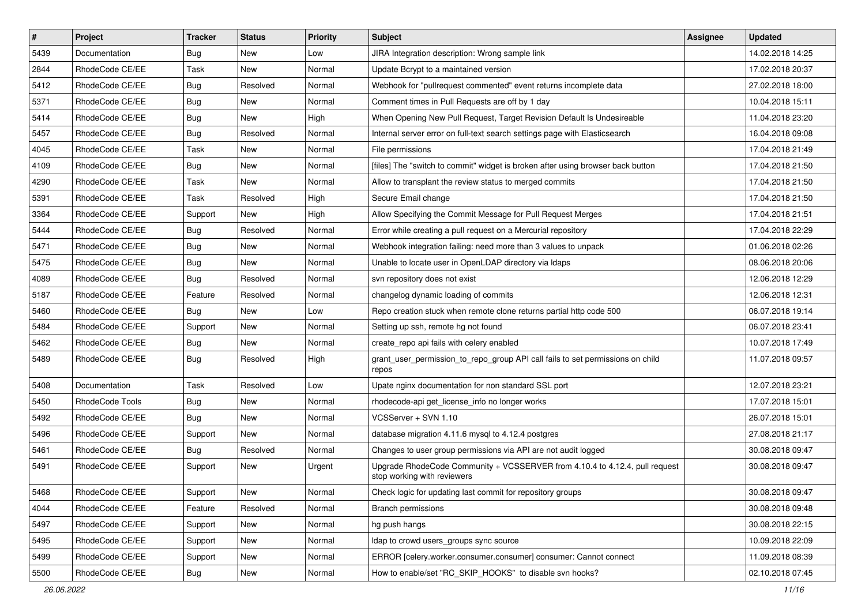| $\vert$ # | Project         | <b>Tracker</b> | <b>Status</b> | Priority | <b>Subject</b>                                                                                             | <b>Assignee</b> | <b>Updated</b>   |
|-----------|-----------------|----------------|---------------|----------|------------------------------------------------------------------------------------------------------------|-----------------|------------------|
| 5439      | Documentation   | Bug            | New           | Low      | JIRA Integration description: Wrong sample link                                                            |                 | 14.02.2018 14:25 |
| 2844      | RhodeCode CE/EE | Task           | <b>New</b>    | Normal   | Update Bcrypt to a maintained version                                                                      |                 | 17.02.2018 20:37 |
| 5412      | RhodeCode CE/EE | Bug            | Resolved      | Normal   | Webhook for "pullrequest commented" event returns incomplete data                                          |                 | 27.02.2018 18:00 |
| 5371      | RhodeCode CE/EE | Bug            | New           | Normal   | Comment times in Pull Requests are off by 1 day                                                            |                 | 10.04.2018 15:11 |
| 5414      | RhodeCode CE/EE | <b>Bug</b>     | <b>New</b>    | High     | When Opening New Pull Request, Target Revision Default Is Undesireable                                     |                 | 11.04.2018 23:20 |
| 5457      | RhodeCode CE/EE | Bug            | Resolved      | Normal   | Internal server error on full-text search settings page with Elasticsearch                                 |                 | 16.04.2018 09:08 |
| 4045      | RhodeCode CE/EE | Task           | New           | Normal   | File permissions                                                                                           |                 | 17.04.2018 21:49 |
| 4109      | RhodeCode CE/EE | Bug            | New           | Normal   | [files] The "switch to commit" widget is broken after using browser back button                            |                 | 17.04.2018 21:50 |
| 4290      | RhodeCode CE/EE | Task           | <b>New</b>    | Normal   | Allow to transplant the review status to merged commits                                                    |                 | 17.04.2018 21:50 |
| 5391      | RhodeCode CE/EE | Task           | Resolved      | High     | Secure Email change                                                                                        |                 | 17.04.2018 21:50 |
| 3364      | RhodeCode CE/EE | Support        | New           | High     | Allow Specifying the Commit Message for Pull Request Merges                                                |                 | 17.04.2018 21:51 |
| 5444      | RhodeCode CE/EE | Bug            | Resolved      | Normal   | Error while creating a pull request on a Mercurial repository                                              |                 | 17.04.2018 22:29 |
| 5471      | RhodeCode CE/EE | Bug            | <b>New</b>    | Normal   | Webhook integration failing: need more than 3 values to unpack                                             |                 | 01.06.2018 02:26 |
| 5475      | RhodeCode CE/EE | Bug            | New           | Normal   | Unable to locate user in OpenLDAP directory via Idaps                                                      |                 | 08.06.2018 20:06 |
| 4089      | RhodeCode CE/EE | Bug            | Resolved      | Normal   | svn repository does not exist                                                                              |                 | 12.06.2018 12:29 |
| 5187      | RhodeCode CE/EE | Feature        | Resolved      | Normal   | changelog dynamic loading of commits                                                                       |                 | 12.06.2018 12:31 |
| 5460      | RhodeCode CE/EE | Bug            | <b>New</b>    | Low      | Repo creation stuck when remote clone returns partial http code 500                                        |                 | 06.07.2018 19:14 |
| 5484      | RhodeCode CE/EE | Support        | <b>New</b>    | Normal   | Setting up ssh, remote hg not found                                                                        |                 | 06.07.2018 23:41 |
| 5462      | RhodeCode CE/EE | Bug            | New           | Normal   | create repo api fails with celery enabled                                                                  |                 | 10.07.2018 17:49 |
| 5489      | RhodeCode CE/EE | Bug            | Resolved      | High     | grant_user_permission_to_repo_group API call fails to set permissions on child<br>repos                    |                 | 11.07.2018 09:57 |
| 5408      | Documentation   | Task           | Resolved      | Low      | Upate nginx documentation for non standard SSL port                                                        |                 | 12.07.2018 23:21 |
| 5450      | RhodeCode Tools | Bug            | <b>New</b>    | Normal   | rhodecode-api get license info no longer works                                                             |                 | 17.07.2018 15:01 |
| 5492      | RhodeCode CE/EE | Bug            | New           | Normal   | VCSServer + SVN 1.10                                                                                       |                 | 26.07.2018 15:01 |
| 5496      | RhodeCode CE/EE | Support        | New           | Normal   | database migration 4.11.6 mysql to 4.12.4 postgres                                                         |                 | 27.08.2018 21:17 |
| 5461      | RhodeCode CE/EE | Bug            | Resolved      | Normal   | Changes to user group permissions via API are not audit logged                                             |                 | 30.08.2018 09:47 |
| 5491      | RhodeCode CE/EE | Support        | New           | Urgent   | Upgrade RhodeCode Community + VCSSERVER from 4.10.4 to 4.12.4, pull request<br>stop working with reviewers |                 | 30.08.2018 09:47 |
| 5468      | RhodeCode CE/EE | Support        | New           | Normal   | Check logic for updating last commit for repository groups                                                 |                 | 30.08.2018 09:47 |
| 4044      | RhodeCode CE/EE | Feature        | Resolved      | Normal   | <b>Branch permissions</b>                                                                                  |                 | 30.08.2018 09:48 |
| 5497      | RhodeCode CE/EE | Support        | New           | Normal   | hg push hangs                                                                                              |                 | 30.08.2018 22:15 |
| 5495      | RhodeCode CE/EE | Support        | New           | Normal   | Idap to crowd users_groups sync source                                                                     |                 | 10.09.2018 22:09 |
| 5499      | RhodeCode CE/EE | Support        | New           | Normal   | ERROR [celery.worker.consumer.consumer] consumer: Cannot connect                                           |                 | 11.09.2018 08:39 |
| 5500      | RhodeCode CE/EE | <b>Bug</b>     | New           | Normal   | How to enable/set "RC_SKIP_HOOKS" to disable svn hooks?                                                    |                 | 02.10.2018 07:45 |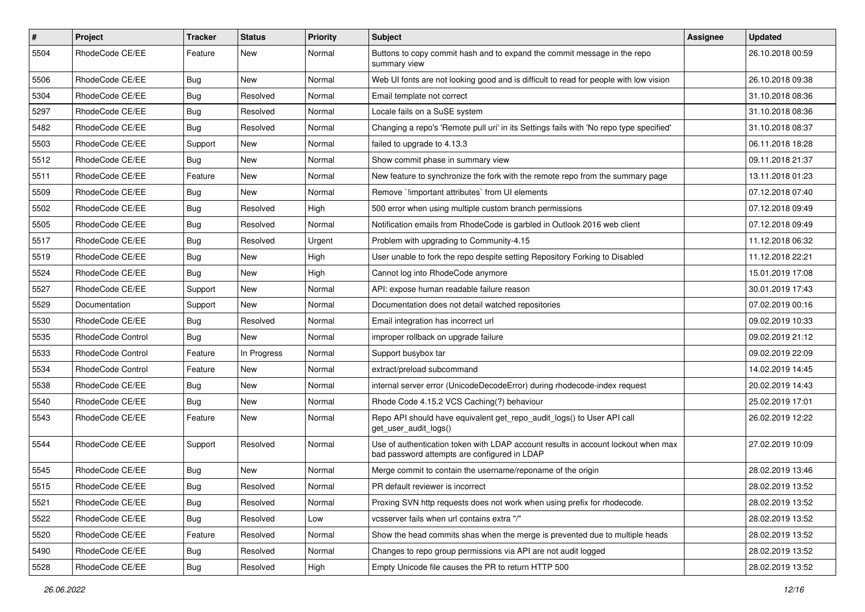| $\pmb{\#}$ | <b>Project</b>    | <b>Tracker</b> | <b>Status</b> | <b>Priority</b> | Subject                                                                                                                           | Assignee | <b>Updated</b>   |
|------------|-------------------|----------------|---------------|-----------------|-----------------------------------------------------------------------------------------------------------------------------------|----------|------------------|
| 5504       | RhodeCode CE/EE   | Feature        | New           | Normal          | Buttons to copy commit hash and to expand the commit message in the repo<br>summary view                                          |          | 26.10.2018 00:59 |
| 5506       | RhodeCode CE/EE   | Bug            | New           | Normal          | Web UI fonts are not looking good and is difficult to read for people with low vision                                             |          | 26.10.2018 09:38 |
| 5304       | RhodeCode CE/EE   | <b>Bug</b>     | Resolved      | Normal          | Email template not correct                                                                                                        |          | 31.10.2018 08:36 |
| 5297       | RhodeCode CE/EE   | <b>Bug</b>     | Resolved      | Normal          | Locale fails on a SuSE system                                                                                                     |          | 31.10.2018 08:36 |
| 5482       | RhodeCode CE/EE   | <b>Bug</b>     | Resolved      | Normal          | Changing a repo's 'Remote pull uri' in its Settings fails with 'No repo type specified'                                           |          | 31.10.2018 08:37 |
| 5503       | RhodeCode CE/EE   | Support        | New           | Normal          | failed to upgrade to 4.13.3                                                                                                       |          | 06.11.2018 18:28 |
| 5512       | RhodeCode CE/EE   | Bug            | New           | Normal          | Show commit phase in summary view                                                                                                 |          | 09.11.2018 21:37 |
| 5511       | RhodeCode CE/EE   | Feature        | <b>New</b>    | Normal          | New feature to synchronize the fork with the remote repo from the summary page                                                    |          | 13.11.2018 01:23 |
| 5509       | RhodeCode CE/EE   | Bug            | New           | Normal          | Remove `limportant attributes` from UI elements                                                                                   |          | 07.12.2018 07:40 |
| 5502       | RhodeCode CE/EE   | <b>Bug</b>     | Resolved      | High            | 500 error when using multiple custom branch permissions                                                                           |          | 07.12.2018 09:49 |
| 5505       | RhodeCode CE/EE   | Bug            | Resolved      | Normal          | Notification emails from RhodeCode is garbled in Outlook 2016 web client                                                          |          | 07.12.2018 09:49 |
| 5517       | RhodeCode CE/EE   | Bug            | Resolved      | Urgent          | Problem with upgrading to Community-4.15                                                                                          |          | 11.12.2018 06:32 |
| 5519       | RhodeCode CE/EE   | <b>Bug</b>     | New           | High            | User unable to fork the repo despite setting Repository Forking to Disabled                                                       |          | 11.12.2018 22:21 |
| 5524       | RhodeCode CE/EE   | <b>Bug</b>     | <b>New</b>    | High            | Cannot log into RhodeCode anymore                                                                                                 |          | 15.01.2019 17:08 |
| 5527       | RhodeCode CE/EE   | Support        | New           | Normal          | API: expose human readable failure reason                                                                                         |          | 30.01.2019 17:43 |
| 5529       | Documentation     | Support        | New           | Normal          | Documentation does not detail watched repositories                                                                                |          | 07.02.2019 00:16 |
| 5530       | RhodeCode CE/EE   | Bug            | Resolved      | Normal          | Email integration has incorrect url                                                                                               |          | 09.02.2019 10:33 |
| 5535       | RhodeCode Control | <b>Bug</b>     | New           | Normal          | improper rollback on upgrade failure                                                                                              |          | 09.02.2019 21:12 |
| 5533       | RhodeCode Control | Feature        | In Progress   | Normal          | Support busybox tar                                                                                                               |          | 09.02.2019 22:09 |
| 5534       | RhodeCode Control | Feature        | New           | Normal          | extract/preload subcommand                                                                                                        |          | 14.02.2019 14:45 |
| 5538       | RhodeCode CE/EE   | <b>Bug</b>     | New           | Normal          | internal server error (UnicodeDecodeError) during rhodecode-index request                                                         |          | 20.02.2019 14:43 |
| 5540       | RhodeCode CE/EE   | Bug            | <b>New</b>    | Normal          | Rhode Code 4.15.2 VCS Caching(?) behaviour                                                                                        |          | 25.02.2019 17:01 |
| 5543       | RhodeCode CE/EE   | Feature        | New           | Normal          | Repo API should have equivalent get_repo_audit_logs() to User API call<br>get_user_audit_logs()                                   |          | 26.02.2019 12:22 |
| 5544       | RhodeCode CE/EE   | Support        | Resolved      | Normal          | Use of authentication token with LDAP account results in account lockout when max<br>bad password attempts are configured in LDAP |          | 27.02.2019 10:09 |
| 5545       | RhodeCode CE/EE   | Bug            | New           | Normal          | Merge commit to contain the username/reponame of the origin                                                                       |          | 28.02.2019 13:46 |
| 5515       | RhodeCode CE/EE   | Bug            | Resolved      | Normal          | PR default reviewer is incorrect                                                                                                  |          | 28.02.2019 13:52 |
| 5521       | RhodeCode CE/EE   | Bug            | Resolved      | Normal          | Proxing SVN http requests does not work when using prefix for rhodecode.                                                          |          | 28.02.2019 13:52 |
| 5522       | RhodeCode CE/EE   | <b>Bug</b>     | Resolved      | Low             | vcsserver fails when url contains extra "/"                                                                                       |          | 28.02.2019 13:52 |
| 5520       | RhodeCode CE/EE   | Feature        | Resolved      | Normal          | Show the head commits shas when the merge is prevented due to multiple heads                                                      |          | 28.02.2019 13:52 |
| 5490       | RhodeCode CE/EE   | Bug            | Resolved      | Normal          | Changes to repo group permissions via API are not audit logged                                                                    |          | 28.02.2019 13:52 |
| 5528       | RhodeCode CE/EE   | Bug            | Resolved      | High            | Empty Unicode file causes the PR to return HTTP 500                                                                               |          | 28.02.2019 13:52 |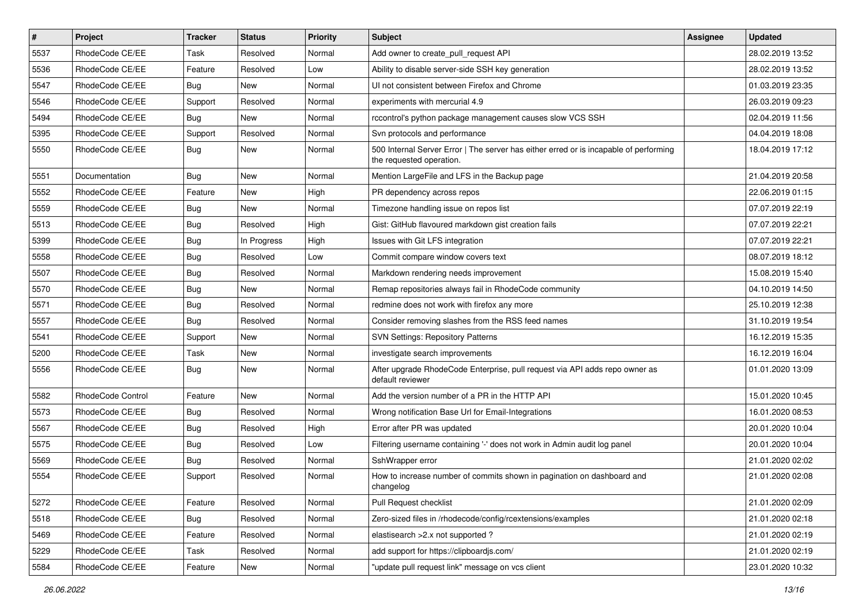| $\sharp$ | Project           | <b>Tracker</b> | <b>Status</b> | <b>Priority</b> | Subject                                                                                                           | <b>Assignee</b> | <b>Updated</b>   |
|----------|-------------------|----------------|---------------|-----------------|-------------------------------------------------------------------------------------------------------------------|-----------------|------------------|
| 5537     | RhodeCode CE/EE   | Task           | Resolved      | Normal          | Add owner to create pull request API                                                                              |                 | 28.02.2019 13:52 |
| 5536     | RhodeCode CE/EE   | Feature        | Resolved      | Low             | Ability to disable server-side SSH key generation                                                                 |                 | 28.02.2019 13:52 |
| 5547     | RhodeCode CE/EE   | Bug            | New           | Normal          | UI not consistent between Firefox and Chrome                                                                      |                 | 01.03.2019 23:35 |
| 5546     | RhodeCode CE/EE   | Support        | Resolved      | Normal          | experiments with mercurial 4.9                                                                                    |                 | 26.03.2019 09:23 |
| 5494     | RhodeCode CE/EE   | Bug            | New           | Normal          | rccontrol's python package management causes slow VCS SSH                                                         |                 | 02.04.2019 11:56 |
| 5395     | RhodeCode CE/EE   | Support        | Resolved      | Normal          | Svn protocols and performance                                                                                     |                 | 04.04.2019 18:08 |
| 5550     | RhodeCode CE/EE   | Bug            | New           | Normal          | 500 Internal Server Error   The server has either erred or is incapable of performing<br>the requested operation. |                 | 18.04.2019 17:12 |
| 5551     | Documentation     | Bug            | <b>New</b>    | Normal          | Mention LargeFile and LFS in the Backup page                                                                      |                 | 21.04.2019 20:58 |
| 5552     | RhodeCode CE/EE   | Feature        | <b>New</b>    | High            | PR dependency across repos                                                                                        |                 | 22.06.2019 01:15 |
| 5559     | RhodeCode CE/EE   | Bug            | New           | Normal          | Timezone handling issue on repos list                                                                             |                 | 07.07.2019 22:19 |
| 5513     | RhodeCode CE/EE   | Bug            | Resolved      | High            | Gist: GitHub flavoured markdown gist creation fails                                                               |                 | 07.07.2019 22:21 |
| 5399     | RhodeCode CE/EE   | Bug            | In Progress   | High            | Issues with Git LFS integration                                                                                   |                 | 07.07.2019 22:21 |
| 5558     | RhodeCode CE/EE   | <b>Bug</b>     | Resolved      | Low             | Commit compare window covers text                                                                                 |                 | 08.07.2019 18:12 |
| 5507     | RhodeCode CE/EE   | Bug            | Resolved      | Normal          | Markdown rendering needs improvement                                                                              |                 | 15.08.2019 15:40 |
| 5570     | RhodeCode CE/EE   | Bug            | <b>New</b>    | Normal          | Remap repositories always fail in RhodeCode community                                                             |                 | 04.10.2019 14:50 |
| 5571     | RhodeCode CE/EE   | <b>Bug</b>     | Resolved      | Normal          | redmine does not work with firefox any more                                                                       |                 | 25.10.2019 12:38 |
| 5557     | RhodeCode CE/EE   | Bug            | Resolved      | Normal          | Consider removing slashes from the RSS feed names                                                                 |                 | 31.10.2019 19:54 |
| 5541     | RhodeCode CE/EE   | Support        | <b>New</b>    | Normal          | <b>SVN Settings: Repository Patterns</b>                                                                          |                 | 16.12.2019 15:35 |
| 5200     | RhodeCode CE/EE   | Task           | New           | Normal          | investigate search improvements                                                                                   |                 | 16.12.2019 16:04 |
| 5556     | RhodeCode CE/EE   | Bug            | New           | Normal          | After upgrade RhodeCode Enterprise, pull request via API adds repo owner as<br>default reviewer                   |                 | 01.01.2020 13:09 |
| 5582     | RhodeCode Control | Feature        | <b>New</b>    | Normal          | Add the version number of a PR in the HTTP API                                                                    |                 | 15.01.2020 10:45 |
| 5573     | RhodeCode CE/EE   | Bug            | Resolved      | Normal          | Wrong notification Base Url for Email-Integrations                                                                |                 | 16.01.2020 08:53 |
| 5567     | RhodeCode CE/EE   | <b>Bug</b>     | Resolved      | High            | Error after PR was updated                                                                                        |                 | 20.01.2020 10:04 |
| 5575     | RhodeCode CE/EE   | Bug            | Resolved      | Low             | Filtering username containing '-' does not work in Admin audit log panel                                          |                 | 20.01.2020 10:04 |
| 5569     | RhodeCode CE/EE   | <b>Bug</b>     | Resolved      | Normal          | SshWrapper error                                                                                                  |                 | 21.01.2020 02:02 |
| 5554     | RhodeCode CE/EE   | Support        | Resolved      | Normal          | How to increase number of commits shown in pagination on dashboard and<br>changelog                               |                 | 21.01.2020 02:08 |
| 5272     | RhodeCode CE/EE   | Feature        | Resolved      | Normal          | Pull Request checklist                                                                                            |                 | 21.01.2020 02:09 |
| 5518     | RhodeCode CE/EE   | Bug            | Resolved      | Normal          | Zero-sized files in /rhodecode/config/rcextensions/examples                                                       |                 | 21.01.2020 02:18 |
| 5469     | RhodeCode CE/EE   | Feature        | Resolved      | Normal          | elastisearch > 2.x not supported ?                                                                                |                 | 21.01.2020 02:19 |
| 5229     | RhodeCode CE/EE   | Task           | Resolved      | Normal          | add support for https://clipboardjs.com/                                                                          |                 | 21.01.2020 02:19 |
| 5584     | RhodeCode CE/EE   | Feature        | New           | Normal          | "update pull request link" message on vcs client                                                                  |                 | 23.01.2020 10:32 |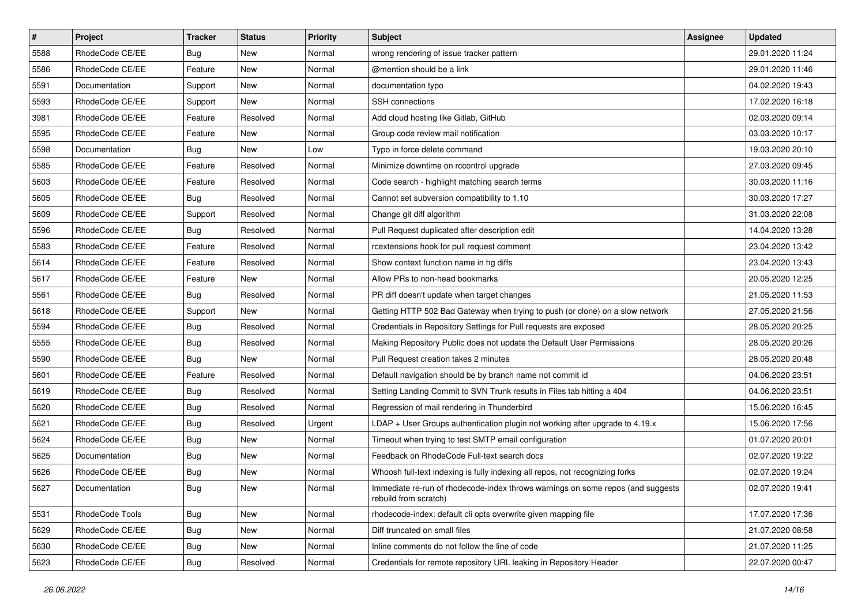| $\vert$ # | Project         | Tracker    | <b>Status</b> | <b>Priority</b> | <b>Subject</b>                                                                                           | <b>Assignee</b> | <b>Updated</b>   |
|-----------|-----------------|------------|---------------|-----------------|----------------------------------------------------------------------------------------------------------|-----------------|------------------|
| 5588      | RhodeCode CE/EE | <b>Bug</b> | New           | Normal          | wrong rendering of issue tracker pattern                                                                 |                 | 29.01.2020 11:24 |
| 5586      | RhodeCode CE/EE | Feature    | New           | Normal          | @mention should be a link                                                                                |                 | 29.01.2020 11:46 |
| 5591      | Documentation   | Support    | New           | Normal          | documentation typo                                                                                       |                 | 04.02.2020 19:43 |
| 5593      | RhodeCode CE/EE | Support    | New           | Normal          | SSH connections                                                                                          |                 | 17.02.2020 16:18 |
| 3981      | RhodeCode CE/EE | Feature    | Resolved      | Normal          | Add cloud hosting like Gitlab, GitHub                                                                    |                 | 02.03.2020 09:14 |
| 5595      | RhodeCode CE/EE | Feature    | New           | Normal          | Group code review mail notification                                                                      |                 | 03.03.2020 10:17 |
| 5598      | Documentation   | Bug        | New           | Low             | Typo in force delete command                                                                             |                 | 19.03.2020 20:10 |
| 5585      | RhodeCode CE/EE | Feature    | Resolved      | Normal          | Minimize downtime on rccontrol upgrade                                                                   |                 | 27.03.2020 09:45 |
| 5603      | RhodeCode CE/EE | Feature    | Resolved      | Normal          | Code search - highlight matching search terms                                                            |                 | 30.03.2020 11:16 |
| 5605      | RhodeCode CE/EE | Bug        | Resolved      | Normal          | Cannot set subversion compatibility to 1.10                                                              |                 | 30.03.2020 17:27 |
| 5609      | RhodeCode CE/EE | Support    | Resolved      | Normal          | Change git diff algorithm                                                                                |                 | 31.03.2020 22:08 |
| 5596      | RhodeCode CE/EE | Bug        | Resolved      | Normal          | Pull Request duplicated after description edit                                                           |                 | 14.04.2020 13:28 |
| 5583      | RhodeCode CE/EE | Feature    | Resolved      | Normal          | rcextensions hook for pull request comment                                                               |                 | 23.04.2020 13:42 |
| 5614      | RhodeCode CE/EE | Feature    | Resolved      | Normal          | Show context function name in hg diffs                                                                   |                 | 23.04.2020 13:43 |
| 5617      | RhodeCode CE/EE | Feature    | New           | Normal          | Allow PRs to non-head bookmarks                                                                          |                 | 20.05.2020 12:25 |
| 5561      | RhodeCode CE/EE | Bug        | Resolved      | Normal          | PR diff doesn't update when target changes                                                               |                 | 21.05.2020 11:53 |
| 5618      | RhodeCode CE/EE | Support    | New           | Normal          | Getting HTTP 502 Bad Gateway when trying to push (or clone) on a slow network                            |                 | 27.05.2020 21:56 |
| 5594      | RhodeCode CE/EE | <b>Bug</b> | Resolved      | Normal          | Credentials in Repository Settings for Pull requests are exposed                                         |                 | 28.05.2020 20:25 |
| 5555      | RhodeCode CE/EE | <b>Bug</b> | Resolved      | Normal          | Making Repository Public does not update the Default User Permissions                                    |                 | 28.05.2020 20:26 |
| 5590      | RhodeCode CE/EE | Bug        | New           | Normal          | Pull Request creation takes 2 minutes                                                                    |                 | 28.05.2020 20:48 |
| 5601      | RhodeCode CE/EE | Feature    | Resolved      | Normal          | Default navigation should be by branch name not commit id                                                |                 | 04.06.2020 23:51 |
| 5619      | RhodeCode CE/EE | <b>Bug</b> | Resolved      | Normal          | Setting Landing Commit to SVN Trunk results in Files tab hitting a 404                                   |                 | 04.06.2020 23:51 |
| 5620      | RhodeCode CE/EE | Bug        | Resolved      | Normal          | Regression of mail rendering in Thunderbird                                                              |                 | 15.06.2020 16:45 |
| 5621      | RhodeCode CE/EE | <b>Bug</b> | Resolved      | Urgent          | LDAP + User Groups authentication plugin not working after upgrade to 4.19.x                             |                 | 15.06.2020 17:56 |
| 5624      | RhodeCode CE/EE | <b>Bug</b> | New           | Normal          | Timeout when trying to test SMTP email configuration                                                     |                 | 01.07.2020 20:01 |
| 5625      | Documentation   | <b>Bug</b> | New           | Normal          | Feedback on RhodeCode Full-text search docs                                                              |                 | 02.07.2020 19:22 |
| 5626      | RhodeCode CE/EE | <b>Bug</b> | New           | Normal          | Whoosh full-text indexing is fully indexing all repos, not recognizing forks                             |                 | 02.07.2020 19:24 |
| 5627      | Documentation   | <b>Bug</b> | New           | Normal          | Immediate re-run of rhodecode-index throws warnings on some repos (and suggests<br>rebuild from scratch) |                 | 02.07.2020 19:41 |
| 5531      | RhodeCode Tools | Bug        | New           | Normal          | rhodecode-index: default cli opts overwrite given mapping file                                           |                 | 17.07.2020 17:36 |
| 5629      | RhodeCode CE/EE | Bug        | New           | Normal          | Diff truncated on small files                                                                            |                 | 21.07.2020 08:58 |
| 5630      | RhodeCode CE/EE | <b>Bug</b> | New           | Normal          | Inline comments do not follow the line of code                                                           |                 | 21.07.2020 11:25 |
| 5623      | RhodeCode CE/EE | <b>Bug</b> | Resolved      | Normal          | Credentials for remote repository URL leaking in Repository Header                                       |                 | 22.07.2020 00:47 |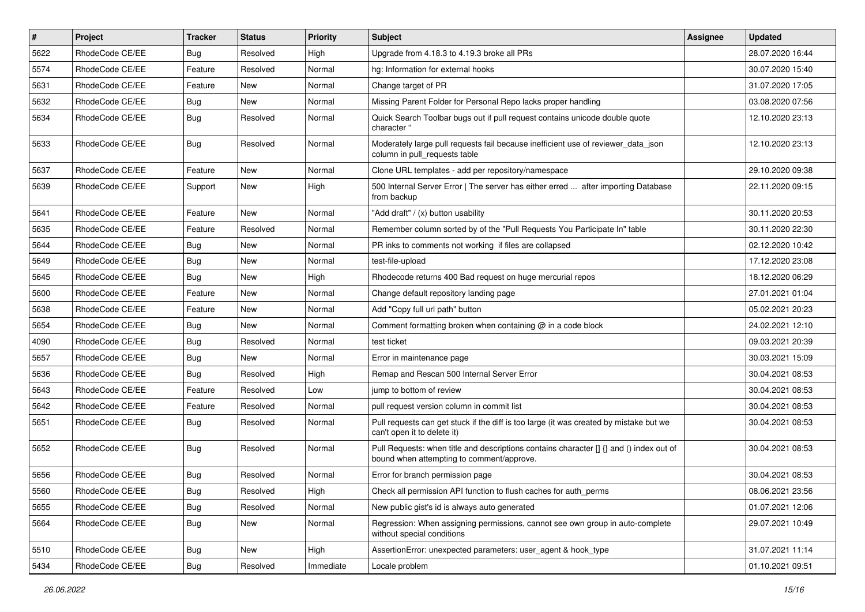| $\pmb{\#}$ | Project         | <b>Tracker</b> | <b>Status</b> | <b>Priority</b> | <b>Subject</b>                                                                                                                       | Assignee | <b>Updated</b>   |
|------------|-----------------|----------------|---------------|-----------------|--------------------------------------------------------------------------------------------------------------------------------------|----------|------------------|
| 5622       | RhodeCode CE/EE | Bug            | Resolved      | High            | Upgrade from 4.18.3 to 4.19.3 broke all PRs                                                                                          |          | 28.07.2020 16:44 |
| 5574       | RhodeCode CE/EE | Feature        | Resolved      | Normal          | hg: Information for external hooks                                                                                                   |          | 30.07.2020 15:40 |
| 5631       | RhodeCode CE/EE | Feature        | New           | Normal          | Change target of PR                                                                                                                  |          | 31.07.2020 17:05 |
| 5632       | RhodeCode CE/EE | Bug            | New           | Normal          | Missing Parent Folder for Personal Repo lacks proper handling                                                                        |          | 03.08.2020 07:56 |
| 5634       | RhodeCode CE/EE | Bug            | Resolved      | Normal          | Quick Search Toolbar bugs out if pull request contains unicode double quote<br>character "                                           |          | 12.10.2020 23:13 |
| 5633       | RhodeCode CE/EE | Bug            | Resolved      | Normal          | Moderately large pull requests fail because inefficient use of reviewer_data_json<br>column in pull requests table                   |          | 12.10.2020 23:13 |
| 5637       | RhodeCode CE/EE | Feature        | <b>New</b>    | Normal          | Clone URL templates - add per repository/namespace                                                                                   |          | 29.10.2020 09:38 |
| 5639       | RhodeCode CE/EE | Support        | New           | High            | 500 Internal Server Error   The server has either erred  after importing Database<br>from backup                                     |          | 22.11.2020 09:15 |
| 5641       | RhodeCode CE/EE | Feature        | <b>New</b>    | Normal          | "Add draft" / (x) button usability                                                                                                   |          | 30.11.2020 20:53 |
| 5635       | RhodeCode CE/EE | Feature        | Resolved      | Normal          | Remember column sorted by of the "Pull Requests You Participate In" table                                                            |          | 30.11.2020 22:30 |
| 5644       | RhodeCode CE/EE | Bug            | New           | Normal          | PR inks to comments not working if files are collapsed                                                                               |          | 02.12.2020 10:42 |
| 5649       | RhodeCode CE/EE | Bug            | New           | Normal          | test-file-upload                                                                                                                     |          | 17.12.2020 23:08 |
| 5645       | RhodeCode CE/EE | Bug            | New           | High            | Rhodecode returns 400 Bad request on huge mercurial repos                                                                            |          | 18.12.2020 06:29 |
| 5600       | RhodeCode CE/EE | Feature        | <b>New</b>    | Normal          | Change default repository landing page                                                                                               |          | 27.01.2021 01:04 |
| 5638       | RhodeCode CE/EE | Feature        | <b>New</b>    | Normal          | Add "Copy full url path" button                                                                                                      |          | 05.02.2021 20:23 |
| 5654       | RhodeCode CE/EE | Bug            | New           | Normal          | Comment formatting broken when containing $@$ in a code block                                                                        |          | 24.02.2021 12:10 |
| 4090       | RhodeCode CE/EE | Bug            | Resolved      | Normal          | test ticket                                                                                                                          |          | 09.03.2021 20:39 |
| 5657       | RhodeCode CE/EE | Bug            | New           | Normal          | Error in maintenance page                                                                                                            |          | 30.03.2021 15:09 |
| 5636       | RhodeCode CE/EE | Bug            | Resolved      | High            | Remap and Rescan 500 Internal Server Error                                                                                           |          | 30.04.2021 08:53 |
| 5643       | RhodeCode CE/EE | Feature        | Resolved      | Low             | jump to bottom of review                                                                                                             |          | 30.04.2021 08:53 |
| 5642       | RhodeCode CE/EE | Feature        | Resolved      | Normal          | pull request version column in commit list                                                                                           |          | 30.04.2021 08:53 |
| 5651       | RhodeCode CE/EE | Bug            | Resolved      | Normal          | Pull requests can get stuck if the diff is too large (it was created by mistake but we<br>can't open it to delete it)                |          | 30.04.2021 08:53 |
| 5652       | RhodeCode CE/EE | Bug            | Resolved      | Normal          | Pull Requests: when title and descriptions contains character [] {} and () index out of<br>bound when attempting to comment/approve. |          | 30.04.2021 08:53 |
| 5656       | RhodeCode CE/EE | Bug            | Resolved      | Normal          | Error for branch permission page                                                                                                     |          | 30.04.2021 08:53 |
| 5560       | RhodeCode CE/EE | Bug            | Resolved      | High            | Check all permission API function to flush caches for auth_perms                                                                     |          | 08.06.2021 23:56 |
| 5655       | RhodeCode CE/EE | Bug            | Resolved      | Normal          | New public gist's id is always auto generated                                                                                        |          | 01.07.2021 12:06 |
| 5664       | RhodeCode CE/EE | Bug            | New           | Normal          | Regression: When assigning permissions, cannot see own group in auto-complete<br>without special conditions                          |          | 29.07.2021 10:49 |
| 5510       | RhodeCode CE/EE | Bug            | New           | High            | AssertionError: unexpected parameters: user_agent & hook_type                                                                        |          | 31.07.2021 11:14 |
| 5434       | RhodeCode CE/EE | Bug            | Resolved      | Immediate       | Locale problem                                                                                                                       |          | 01.10.2021 09:51 |